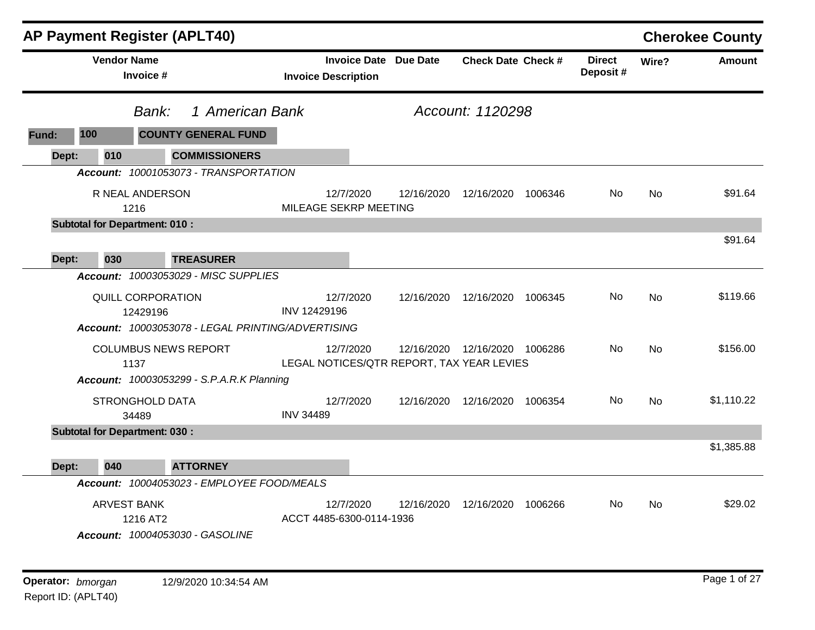|       | <b>AP Payment Register (APLT40)</b>  |                                 |                                                   |                                           |                              |                                 |         |                           |           | <b>Cherokee County</b> |
|-------|--------------------------------------|---------------------------------|---------------------------------------------------|-------------------------------------------|------------------------------|---------------------------------|---------|---------------------------|-----------|------------------------|
|       | <b>Vendor Name</b>                   | Invoice #                       |                                                   | <b>Invoice Description</b>                | <b>Invoice Date Due Date</b> | <b>Check Date Check #</b>       |         | <b>Direct</b><br>Deposit# | Wire?     | Amount                 |
|       | Bank:                                |                                 | 1 American Bank                                   |                                           |                              | Account: 1120298                |         |                           |           |                        |
| Fund: | 100                                  |                                 | <b>COUNTY GENERAL FUND</b>                        |                                           |                              |                                 |         |                           |           |                        |
| Dept: | 010                                  |                                 | <b>COMMISSIONERS</b>                              |                                           |                              |                                 |         |                           |           |                        |
|       |                                      |                                 | Account: 10001053073 - TRANSPORTATION             |                                           |                              |                                 |         |                           |           |                        |
|       |                                      | R NEAL ANDERSON<br>1216         |                                                   | 12/7/2020<br>MILEAGE SEKRP MEETING        | 12/16/2020                   | 12/16/2020 1006346              |         | No.                       | <b>No</b> | \$91.64                |
|       | <b>Subtotal for Department: 010:</b> |                                 |                                                   |                                           |                              |                                 |         |                           |           |                        |
|       |                                      |                                 |                                                   |                                           |                              |                                 |         |                           |           | \$91.64                |
| Dept: | 030                                  |                                 | <b>TREASURER</b>                                  |                                           |                              |                                 |         |                           |           |                        |
|       |                                      |                                 | Account: 10003053029 - MISC SUPPLIES              |                                           |                              |                                 |         |                           |           |                        |
|       |                                      | QUILL CORPORATION               |                                                   | 12/7/2020                                 | 12/16/2020                   | 12/16/2020                      | 1006345 | No                        | <b>No</b> | \$119.66               |
|       |                                      | 12429196                        | Account: 10003053078 - LEGAL PRINTING/ADVERTISING | INV 12429196                              |                              |                                 |         |                           |           |                        |
|       |                                      | <b>COLUMBUS NEWS REPORT</b>     |                                                   | 12/7/2020                                 |                              | 12/16/2020 12/16/2020 1006286   |         | No.                       | No        | \$156.00               |
|       |                                      | 1137                            |                                                   | LEGAL NOTICES/QTR REPORT, TAX YEAR LEVIES |                              |                                 |         |                           |           |                        |
|       |                                      |                                 | <b>Account: 10003053299 - S.P.A.R.K Planning</b>  |                                           |                              |                                 |         |                           |           |                        |
|       |                                      | <b>STRONGHOLD DATA</b><br>34489 |                                                   | 12/7/2020<br><b>INV 34489</b>             |                              | 12/16/2020  12/16/2020  1006354 |         | No.                       | <b>No</b> | \$1,110.22             |
|       | <b>Subtotal for Department: 030:</b> |                                 |                                                   |                                           |                              |                                 |         |                           |           |                        |
| Dept: | 040                                  |                                 | <b>ATTORNEY</b>                                   |                                           |                              |                                 |         |                           |           | \$1,385.88             |
|       |                                      |                                 | Account: 10004053023 - EMPLOYEE FOOD/MEALS        |                                           |                              |                                 |         |                           |           |                        |
|       |                                      | <b>ARVEST BANK</b>              |                                                   | 12/7/2020                                 | 12/16/2020                   | 12/16/2020                      | 1006266 | No.                       | <b>No</b> | \$29.02                |
|       |                                      | 1216 AT2                        | Account: 10004053030 - GASOLINE                   | ACCT 4485-6300-0114-1936                  |                              |                                 |         |                           |           |                        |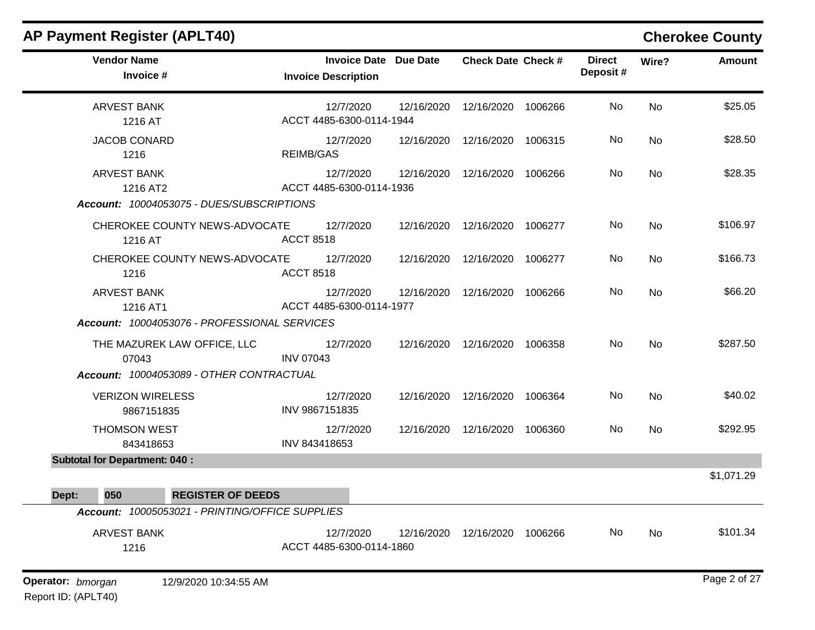| <b>Vendor Name</b><br>Invoice #                                                  | <b>Invoice Date Due Date</b><br><b>Invoice Description</b> |            | <b>Check Date Check #</b>     |         | <b>Direct</b><br>Deposit# | Wire?     | <b>Amount</b> |
|----------------------------------------------------------------------------------|------------------------------------------------------------|------------|-------------------------------|---------|---------------------------|-----------|---------------|
| <b>ARVEST BANK</b><br>1216 AT                                                    | 12/7/2020<br>ACCT 4485-6300-0114-1944                      | 12/16/2020 | 12/16/2020                    | 1006266 | No                        | <b>No</b> | \$25.05       |
| <b>JACOB CONARD</b><br>1216                                                      | 12/7/2020<br><b>REIMB/GAS</b>                              | 12/16/2020 | 12/16/2020 1006315            |         | No                        | No        | \$28.50       |
| <b>ARVEST BANK</b><br>1216 AT2<br>Account: 10004053075 - DUES/SUBSCRIPTIONS      | 12/7/2020<br>ACCT 4485-6300-0114-1936                      | 12/16/2020 | 12/16/2020                    | 1006266 | No                        | No        | \$28.35       |
| CHEROKEE COUNTY NEWS-ADVOCATE<br>1216 AT                                         | 12/7/2020<br><b>ACCT 8518</b>                              | 12/16/2020 | 12/16/2020 1006277            |         | No                        | No        | \$106.97      |
| CHEROKEE COUNTY NEWS-ADVOCATE<br>1216                                            | 12/7/2020<br><b>ACCT 8518</b>                              | 12/16/2020 | 12/16/2020                    | 1006277 | No                        | No        | \$166.73      |
| <b>ARVEST BANK</b><br>1216 AT1<br>Account: 10004053076 - PROFESSIONAL SERVICES   | 12/7/2020<br>ACCT 4485-6300-0114-1977                      | 12/16/2020 | 12/16/2020                    | 1006266 | No                        | No        | \$66.20       |
| THE MAZUREK LAW OFFICE, LLC<br>07043<br>Account: 10004053089 - OTHER CONTRACTUAL | 12/7/2020<br><b>INV 07043</b>                              |            | 12/16/2020  12/16/2020        | 1006358 | No                        | <b>No</b> | \$287.50      |
| <b>VERIZON WIRELESS</b><br>9867151835                                            | 12/7/2020<br>INV 9867151835                                |            | 12/16/2020 12/16/2020 1006364 |         | No                        | No        | \$40.02       |
| <b>THOMSON WEST</b><br>843418653                                                 | 12/7/2020<br>INV 843418653                                 |            | 12/16/2020  12/16/2020        | 1006360 | No                        | No        | \$292.95      |
| <b>Subtotal for Department: 040:</b>                                             |                                                            |            |                               |         |                           |           | \$1,071.29    |
| 050<br><b>REGISTER OF DEEDS</b><br>Dept:                                         |                                                            |            |                               |         |                           |           |               |
| Account: 10005053021 - PRINTING/OFFICE SUPPLIES                                  |                                                            |            |                               |         |                           |           |               |
| <b>ARVEST BANK</b><br>1216                                                       | 12/7/2020<br>ACCT 4485-6300-0114-1860                      | 12/16/2020 | 12/16/2020                    | 1006266 | No                        | No        | \$101.34      |
| Operator: bmorgan<br>12/9/2020 10:34:55 AM                                       |                                                            |            |                               |         |                           |           | Page 2 of 27  |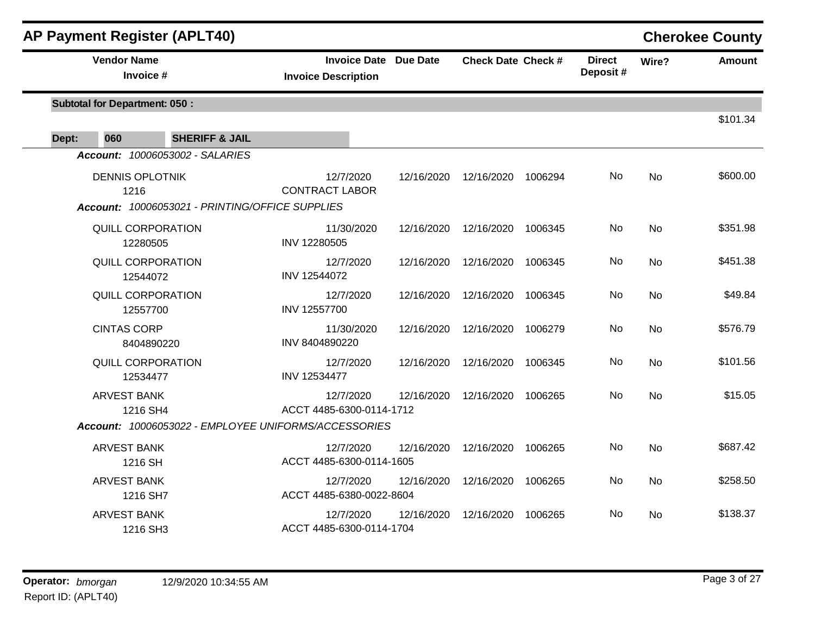| <b>AP Payment Register (APLT40)</b>                  |                                                            |            |                           |         |                           |           | <b>Cherokee County</b> |
|------------------------------------------------------|------------------------------------------------------------|------------|---------------------------|---------|---------------------------|-----------|------------------------|
| <b>Vendor Name</b><br>Invoice #                      | <b>Invoice Date Due Date</b><br><b>Invoice Description</b> |            | <b>Check Date Check #</b> |         | <b>Direct</b><br>Deposit# | Wire?     | <b>Amount</b>          |
| <b>Subtotal for Department: 050:</b>                 |                                                            |            |                           |         |                           |           | \$101.34               |
| Dept:<br>060<br><b>SHERIFF &amp; JAIL</b>            |                                                            |            |                           |         |                           |           |                        |
| Account: 10006053002 - SALARIES                      |                                                            |            |                           |         |                           |           |                        |
| <b>DENNIS OPLOTNIK</b><br>1216                       | 12/7/2020<br><b>CONTRACT LABOR</b>                         | 12/16/2020 | 12/16/2020                | 1006294 | No                        | No        | \$600.00               |
| Account: 10006053021 - PRINTING/OFFICE SUPPLIES      |                                                            |            |                           |         |                           |           |                        |
| <b>QUILL CORPORATION</b><br>12280505                 | 11/30/2020<br>INV 12280505                                 |            | 12/16/2020 12/16/2020     | 1006345 | No                        | No        | \$351.98               |
| <b>QUILL CORPORATION</b><br>12544072                 | 12/7/2020<br>INV 12544072                                  | 12/16/2020 | 12/16/2020                | 1006345 | No                        | <b>No</b> | \$451.38               |
| <b>QUILL CORPORATION</b><br>12557700                 | 12/7/2020<br>INV 12557700                                  | 12/16/2020 | 12/16/2020                | 1006345 | No.                       | <b>No</b> | \$49.84                |
| <b>CINTAS CORP</b><br>8404890220                     | 11/30/2020<br>INV 8404890220                               | 12/16/2020 | 12/16/2020                | 1006279 | No                        | No        | \$576.79               |
| <b>QUILL CORPORATION</b><br>12534477                 | 12/7/2020<br>INV 12534477                                  | 12/16/2020 | 12/16/2020                | 1006345 | No                        | No        | \$101.56               |
| <b>ARVEST BANK</b><br>1216 SH4                       | 12/7/2020<br>ACCT 4485-6300-0114-1712                      | 12/16/2020 | 12/16/2020                | 1006265 | No.                       | <b>No</b> | \$15.05                |
| Account: 10006053022 - EMPLOYEE UNIFORMS/ACCESSORIES |                                                            |            |                           |         |                           |           |                        |
| <b>ARVEST BANK</b><br>1216 SH                        | 12/7/2020<br>ACCT 4485-6300-0114-1605                      | 12/16/2020 | 12/16/2020                | 1006265 | No                        | No        | \$687.42               |
| <b>ARVEST BANK</b><br>1216 SH7                       | 12/7/2020<br>ACCT 4485-6380-0022-8604                      | 12/16/2020 | 12/16/2020                | 1006265 | No                        | No        | \$258.50               |
| <b>ARVEST BANK</b><br>1216 SH3                       | 12/7/2020<br>ACCT 4485-6300-0114-1704                      | 12/16/2020 | 12/16/2020                | 1006265 | No                        | <b>No</b> | \$138.37               |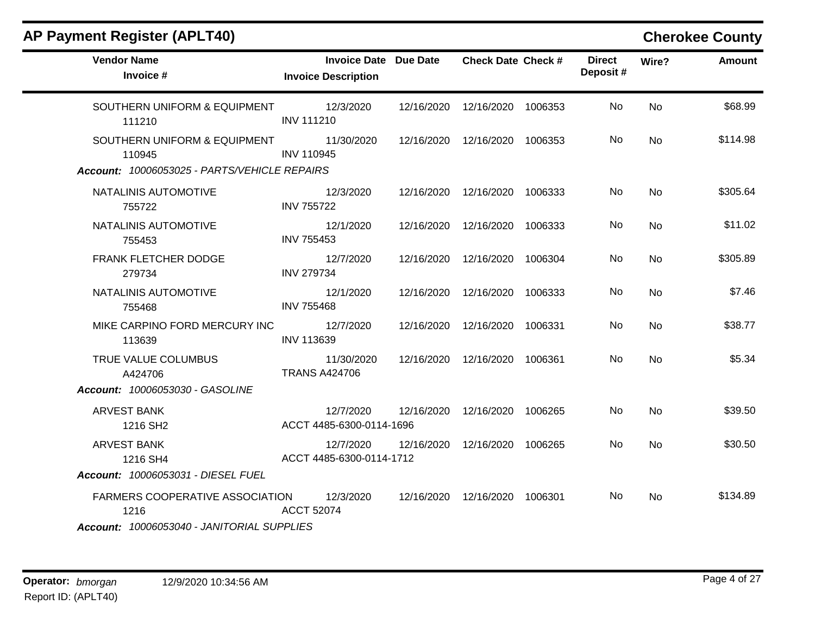| <b>AP Payment Register (APLT40)</b>                                                          |                                                            |                                 |         |                           |                | <b>Cherokee County</b> |
|----------------------------------------------------------------------------------------------|------------------------------------------------------------|---------------------------------|---------|---------------------------|----------------|------------------------|
| <b>Vendor Name</b><br>Invoice #                                                              | <b>Invoice Date Due Date</b><br><b>Invoice Description</b> | <b>Check Date Check #</b>       |         | <b>Direct</b><br>Deposit# | Wire?          | <b>Amount</b>          |
| SOUTHERN UNIFORM & EQUIPMENT<br>111210                                                       | 12/3/2020<br><b>INV 111210</b>                             | 12/16/2020  12/16/2020  1006353 |         | <b>No</b>                 | <b>No</b>      | \$68.99                |
| SOUTHERN UNIFORM & EQUIPMENT<br>110945<br>Account: 10006053025 - PARTS/VEHICLE REPAIRS       | 11/30/2020<br><b>INV 110945</b>                            | 12/16/2020  12/16/2020  1006353 |         | No.                       | No             | \$114.98               |
| NATALINIS AUTOMOTIVE<br>755722                                                               | 12/3/2020<br><b>INV 755722</b>                             | 12/16/2020  12/16/2020  1006333 |         | <b>No</b>                 | <b>No</b>      | \$305.64               |
| NATALINIS AUTOMOTIVE<br>755453                                                               | 12/1/2020<br><b>INV 755453</b>                             | 12/16/2020  12/16/2020  1006333 |         | No.                       | <b>No</b>      | \$11.02                |
| FRANK FLETCHER DODGE<br>279734                                                               | 12/7/2020<br><b>INV 279734</b>                             | 12/16/2020  12/16/2020  1006304 |         | No.                       | No             | \$305.89               |
| NATALINIS AUTOMOTIVE<br>755468                                                               | 12/1/2020<br><b>INV 755468</b>                             | 12/16/2020  12/16/2020  1006333 |         | No                        | <b>No</b>      | \$7.46                 |
| MIKE CARPINO FORD MERCURY INC<br>113639                                                      | 12/7/2020<br><b>INV 113639</b>                             | 12/16/2020 12/16/2020           | 1006331 | No.                       | No             | \$38.77                |
| TRUE VALUE COLUMBUS<br>A424706                                                               | 11/30/2020<br><b>TRANS A424706</b>                         | 12/16/2020  12/16/2020  1006361 |         | No                        | <b>No</b>      | \$5.34                 |
| Account: 10006053030 - GASOLINE                                                              |                                                            |                                 |         |                           |                |                        |
| <b>ARVEST BANK</b><br>1216 SH <sub>2</sub>                                                   | 12/7/2020<br>ACCT 4485-6300-0114-1696                      | 12/16/2020 12/16/2020 1006265   |         | No.                       | <b>No</b>      | \$39.50                |
| <b>ARVEST BANK</b><br>1216 SH4<br>Account: 10006053031 - DIESEL FUEL                         | 12/7/2020<br>ACCT 4485-6300-0114-1712                      | 12/16/2020 12/16/2020 1006265   |         | No.                       | No             | \$30.50                |
| <b>FARMERS COOPERATIVE ASSOCIATION</b><br>1216<br>Account: 10006053040 - JANITORIAL SUPPLIES | 12/3/2020<br><b>ACCT 52074</b>                             | 12/16/2020  12/16/2020  1006301 |         | No.                       | N <sub>o</sub> | \$134.89               |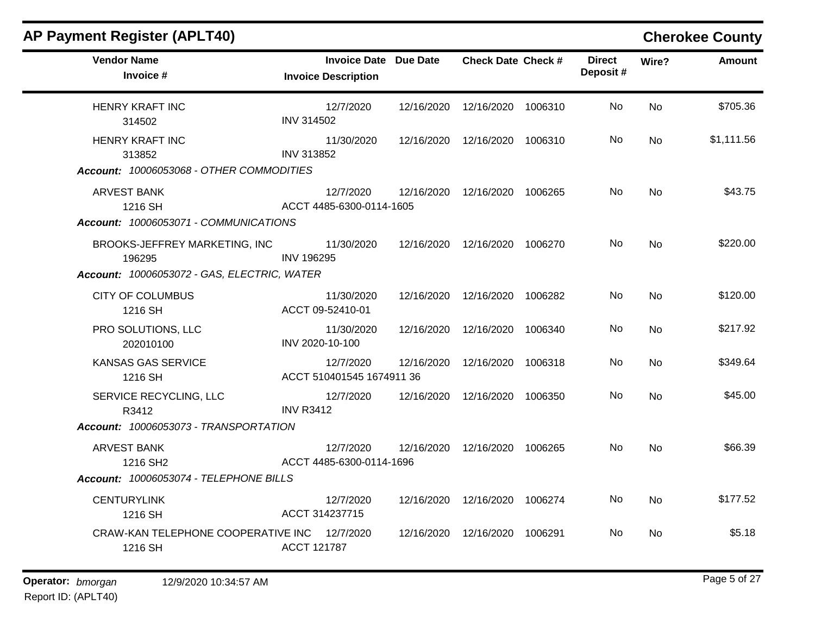| <b>AP Payment Register (APLT40)</b>                                                    |                                        |                              |                                 |         |                           |                | <b>Cherokee County</b> |
|----------------------------------------------------------------------------------------|----------------------------------------|------------------------------|---------------------------------|---------|---------------------------|----------------|------------------------|
| <b>Vendor Name</b><br>Invoice #                                                        | <b>Invoice Description</b>             | <b>Invoice Date Due Date</b> | <b>Check Date Check #</b>       |         | <b>Direct</b><br>Deposit# | Wire?          | Amount                 |
| <b>HENRY KRAFT INC</b><br>314502                                                       | 12/7/2020<br><b>INV 314502</b>         | 12/16/2020                   | 12/16/2020                      | 1006310 | No                        | <b>No</b>      | \$705.36               |
| <b>HENRY KRAFT INC</b><br>313852<br>Account: 10006053068 - OTHER COMMODITIES           | 11/30/2020<br>INV 313852               |                              | 12/16/2020  12/16/2020  1006310 |         | No                        | No.            | \$1,111.56             |
| ARVEST BANK<br>1216 SH<br>Account: 10006053071 - COMMUNICATIONS                        | 12/7/2020<br>ACCT 4485-6300-0114-1605  |                              | 12/16/2020 12/16/2020 1006265   |         | No                        | <b>No</b>      | \$43.75                |
| BROOKS-JEFFREY MARKETING, INC<br>196295<br>Account: 10006053072 - GAS, ELECTRIC, WATER | 11/30/2020<br><b>INV 196295</b>        |                              | 12/16/2020  12/16/2020  1006270 |         | No.                       | <b>No</b>      | \$220.00               |
| <b>CITY OF COLUMBUS</b><br>1216 SH                                                     | 11/30/2020<br>ACCT 09-52410-01         |                              | 12/16/2020  12/16/2020  1006282 |         | No.                       | No             | \$120.00               |
| PRO SOLUTIONS, LLC<br>202010100                                                        | 11/30/2020<br>INV 2020-10-100          |                              | 12/16/2020  12/16/2020  1006340 |         | No                        | <b>No</b>      | \$217.92               |
| <b>KANSAS GAS SERVICE</b><br>1216 SH                                                   | 12/7/2020<br>ACCT 510401545 1674911 36 | 12/16/2020                   | 12/16/2020                      | 1006318 | No.                       | <b>No</b>      | \$349.64               |
| SERVICE RECYCLING, LLC<br>R3412<br>Account: 10006053073 - TRANSPORTATION               | 12/7/2020<br><b>INV R3412</b>          |                              | 12/16/2020  12/16/2020  1006350 |         | No.                       | No             | \$45.00                |
| <b>ARVEST BANK</b><br>1216 SH <sub>2</sub>                                             | 12/7/2020<br>ACCT 4485-6300-0114-1696  |                              | 12/16/2020  12/16/2020  1006265 |         | No.                       | <b>No</b>      | \$66.39                |
| Account: 10006053074 - TELEPHONE BILLS                                                 |                                        |                              |                                 |         |                           |                |                        |
| <b>CENTURYLINK</b><br>1216 SH                                                          | 12/7/2020<br>ACCT 314237715            |                              | 12/16/2020  12/16/2020  1006274 |         | No                        | No             | \$177.52               |
| CRAW-KAN TELEPHONE COOPERATIVE INC<br>1216 SH                                          | 12/7/2020<br><b>ACCT 121787</b>        |                              | 12/16/2020  12/16/2020  1006291 |         | No                        | N <sub>o</sub> | \$5.18                 |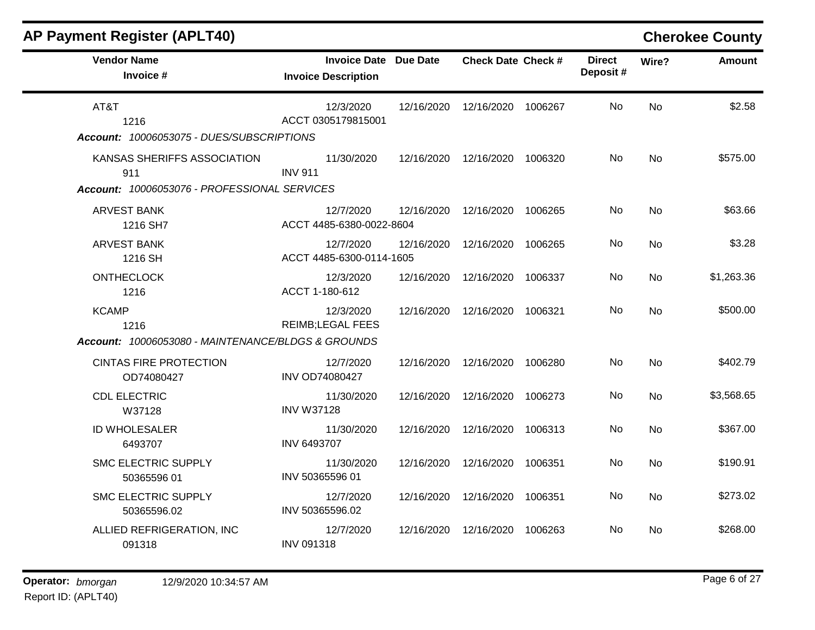| <b>AP Payment Register (APLT40)</b>                                                |                                                            |            |                                 |         |                           |           | <b>Cherokee County</b> |
|------------------------------------------------------------------------------------|------------------------------------------------------------|------------|---------------------------------|---------|---------------------------|-----------|------------------------|
| <b>Vendor Name</b><br>Invoice #                                                    | <b>Invoice Date Due Date</b><br><b>Invoice Description</b> |            | <b>Check Date Check #</b>       |         | <b>Direct</b><br>Deposit# | Wire?     | <b>Amount</b>          |
| AT&T<br>1216<br>Account: 10006053075 - DUES/SUBSCRIPTIONS                          | 12/3/2020<br>ACCT 0305179815001                            |            | 12/16/2020  12/16/2020  1006267 |         | No.                       | <b>No</b> | \$2.58                 |
| KANSAS SHERIFFS ASSOCIATION<br>911<br>Account: 10006053076 - PROFESSIONAL SERVICES | 11/30/2020<br><b>INV 911</b>                               | 12/16/2020 | 12/16/2020 1006320              |         | No                        | <b>No</b> | \$575.00               |
| <b>ARVEST BANK</b><br>1216 SH7                                                     | 12/7/2020<br>ACCT 4485-6380-0022-8604                      | 12/16/2020 | 12/16/2020                      | 1006265 | No                        | <b>No</b> | \$63.66                |
| <b>ARVEST BANK</b><br>1216 SH                                                      | 12/7/2020<br>ACCT 4485-6300-0114-1605                      | 12/16/2020 | 12/16/2020                      | 1006265 | No                        | <b>No</b> | \$3.28                 |
| <b>ONTHECLOCK</b><br>1216                                                          | 12/3/2020<br>ACCT 1-180-612                                | 12/16/2020 | 12/16/2020                      | 1006337 | No                        | <b>No</b> | \$1,263.36             |
| <b>KCAMP</b><br>1216<br>Account: 10006053080 - MAINTENANCE/BLDGS & GROUNDS         | 12/3/2020<br><b>REIMB;LEGAL FEES</b>                       | 12/16/2020 | 12/16/2020                      | 1006321 | No                        | <b>No</b> | \$500.00               |
| <b>CINTAS FIRE PROTECTION</b><br>OD74080427                                        | 12/7/2020<br><b>INV OD74080427</b>                         |            | 12/16/2020  12/16/2020  1006280 |         | No                        | <b>No</b> | \$402.79               |
| <b>CDL ELECTRIC</b><br>W37128                                                      | 11/30/2020<br><b>INV W37128</b>                            | 12/16/2020 | 12/16/2020                      | 1006273 | No                        | <b>No</b> | \$3,568.65             |
| ID WHOLESALER<br>6493707                                                           | 11/30/2020<br><b>INV 6493707</b>                           | 12/16/2020 | 12/16/2020                      | 1006313 | No                        | <b>No</b> | \$367.00               |
| <b>SMC ELECTRIC SUPPLY</b><br>50365596 01                                          | 11/30/2020<br>INV 50365596 01                              | 12/16/2020 | 12/16/2020                      | 1006351 | No.                       | No        | \$190.91               |
| <b>SMC ELECTRIC SUPPLY</b><br>50365596.02                                          | 12/7/2020<br>INV 50365596.02                               | 12/16/2020 | 12/16/2020                      | 1006351 | No                        | No        | \$273.02               |
| ALLIED REFRIGERATION, INC<br>091318                                                | 12/7/2020<br><b>INV 091318</b>                             | 12/16/2020 | 12/16/2020                      | 1006263 | No.                       | <b>No</b> | \$268.00               |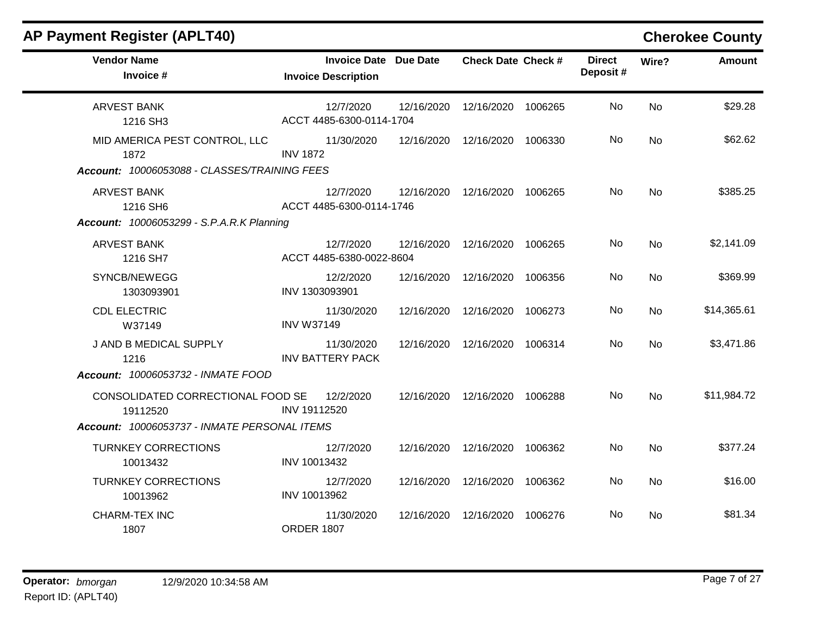| <b>AP Payment Register (APLT40)</b>                                                           |                                                            |                                 |         |                           |           | <b>Cherokee County</b> |
|-----------------------------------------------------------------------------------------------|------------------------------------------------------------|---------------------------------|---------|---------------------------|-----------|------------------------|
| <b>Vendor Name</b><br>Invoice #                                                               | <b>Invoice Date Due Date</b><br><b>Invoice Description</b> | <b>Check Date Check #</b>       |         | <b>Direct</b><br>Deposit# | Wire?     | Amount                 |
| <b>ARVEST BANK</b><br>1216 SH3                                                                | 12/7/2020<br>ACCT 4485-6300-0114-1704                      | 12/16/2020  12/16/2020  1006265 |         | No.                       | No        | \$29.28                |
| MID AMERICA PEST CONTROL, LLC<br>1872<br>Account: 10006053088 - CLASSES/TRAINING FEES         | 11/30/2020<br><b>INV 1872</b>                              | 12/16/2020  12/16/2020  1006330 |         | No                        | <b>No</b> | \$62.62                |
| ARVEST BANK<br>1216 SH6<br><b>Account: 10006053299 - S.P.A.R.K Planning</b>                   | 12/7/2020<br>ACCT 4485-6300-0114-1746                      | 12/16/2020 12/16/2020 1006265   |         | No                        | No        | \$385.25               |
| <b>ARVEST BANK</b><br>1216 SH7                                                                | 12/7/2020<br>ACCT 4485-6380-0022-8604                      | 12/16/2020 12/16/2020 1006265   |         | No                        | <b>No</b> | \$2,141.09             |
| SYNCB/NEWEGG<br>1303093901                                                                    | 12/2/2020<br>INV 1303093901                                | 12/16/2020  12/16/2020          | 1006356 | No                        | No        | \$369.99               |
| <b>CDL ELECTRIC</b><br>W37149                                                                 | 11/30/2020<br><b>INV W37149</b>                            | 12/16/2020  12/16/2020  1006273 |         | No.                       | No        | \$14,365.61            |
| J AND B MEDICAL SUPPLY<br>1216<br>Account: 10006053732 - INMATE FOOD                          | 11/30/2020<br><b>INV BATTERY PACK</b>                      | 12/16/2020 12/16/2020 1006314   |         | No                        | <b>No</b> | \$3,471.86             |
| CONSOLIDATED CORRECTIONAL FOOD SE<br>19112520<br>Account: 10006053737 - INMATE PERSONAL ITEMS | 12/2/2020<br>INV 19112520                                  | 12/16/2020 12/16/2020 1006288   |         | No.                       | No        | \$11,984.72            |
| <b>TURNKEY CORRECTIONS</b><br>10013432                                                        | 12/7/2020<br>INV 10013432                                  | 12/16/2020 12/16/2020 1006362   |         | No                        | <b>No</b> | \$377.24               |
| <b>TURNKEY CORRECTIONS</b><br>10013962                                                        | 12/7/2020<br>INV 10013962                                  | 12/16/2020  12/16/2020          | 1006362 | No.                       | No        | \$16.00                |
| <b>CHARM-TEX INC</b><br>1807                                                                  | 11/30/2020<br><b>ORDER 1807</b>                            | 12/16/2020  12/16/2020  1006276 |         | No.                       | No        | \$81.34                |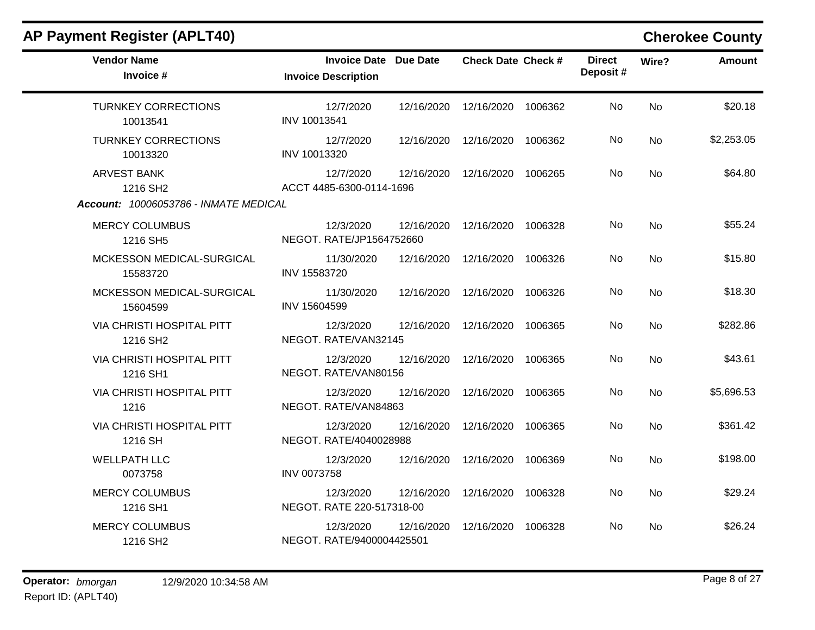m.

| <b>Vendor Name</b><br>Invoice #                   | <b>Invoice Date Due Date</b><br><b>Invoice Description</b> | <b>Check Date Check #</b> | <b>Direct</b><br>Deposit# | <b>Amount</b><br>Wire? |  |
|---------------------------------------------------|------------------------------------------------------------|---------------------------|---------------------------|------------------------|--|
| <b>TURNKEY CORRECTIONS</b><br>10013541            | 12/7/2020<br>12/16/2020<br>INV 10013541                    | 12/16/2020<br>1006362     | No                        | \$20.18<br><b>No</b>   |  |
| <b>TURNKEY CORRECTIONS</b><br>10013320            | 12/7/2020<br>12/16/2020<br>INV 10013320                    | 12/16/2020 1006362        | No                        | \$2,253.05<br>No       |  |
| <b>ARVEST BANK</b><br>1216 SH <sub>2</sub>        | 12/7/2020<br>12/16/2020<br>ACCT 4485-6300-0114-1696        | 12/16/2020<br>1006265     | No                        | \$64.80<br>No          |  |
| Account: 10006053786 - INMATE MEDICAL             |                                                            |                           |                           |                        |  |
| <b>MERCY COLUMBUS</b><br>1216 SH5                 | 12/3/2020<br>12/16/2020<br>NEGOT. RATE/JP1564752660        | 12/16/2020<br>1006328     | No                        | \$55.24<br>No          |  |
| MCKESSON MEDICAL-SURGICAL<br>15583720             | 11/30/2020<br>12/16/2020<br>INV 15583720                   | 12/16/2020<br>1006326     | No.                       | \$15.80<br>No          |  |
| MCKESSON MEDICAL-SURGICAL<br>15604599             | 11/30/2020<br>12/16/2020<br>INV 15604599                   | 12/16/2020<br>1006326     | No                        | \$18.30<br><b>No</b>   |  |
| VIA CHRISTI HOSPITAL PITT<br>1216 SH <sub>2</sub> | 12/3/2020<br>12/16/2020<br>NEGOT. RATE/VAN32145            | 12/16/2020<br>1006365     | No                        | \$282.86<br><b>No</b>  |  |
| <b>VIA CHRISTI HOSPITAL PITT</b><br>1216 SH1      | 12/3/2020<br>12/16/2020<br>NEGOT. RATE/VAN80156            | 12/16/2020<br>1006365     | No                        | \$43.61<br>No          |  |
| <b>VIA CHRISTI HOSPITAL PITT</b><br>1216          | 12/3/2020<br>12/16/2020<br>NEGOT. RATE/VAN84863            | 12/16/2020<br>1006365     | No.                       | \$5,696.53<br>No       |  |
| VIA CHRISTI HOSPITAL PITT<br>1216 SH              | 12/3/2020<br>12/16/2020<br>NEGOT. RATE/4040028988          | 12/16/2020<br>1006365     | No                        | \$361.42<br>No         |  |
| <b>WELLPATH LLC</b><br>0073758                    | 12/3/2020<br>12/16/2020<br><b>INV 0073758</b>              | 12/16/2020<br>1006369     | No                        | \$198.00<br>No         |  |
| <b>MERCY COLUMBUS</b><br>1216 SH1                 | 12/3/2020<br>12/16/2020<br>NEGOT. RATE 220-517318-00       | 12/16/2020<br>1006328     | No                        | \$29.24<br><b>No</b>   |  |
| <b>MERCY COLUMBUS</b><br>1216 SH2                 | 12/3/2020<br>12/16/2020<br>NEGOT. RATE/9400004425501       | 12/16/2020<br>1006328     | No                        | \$26.24<br>No          |  |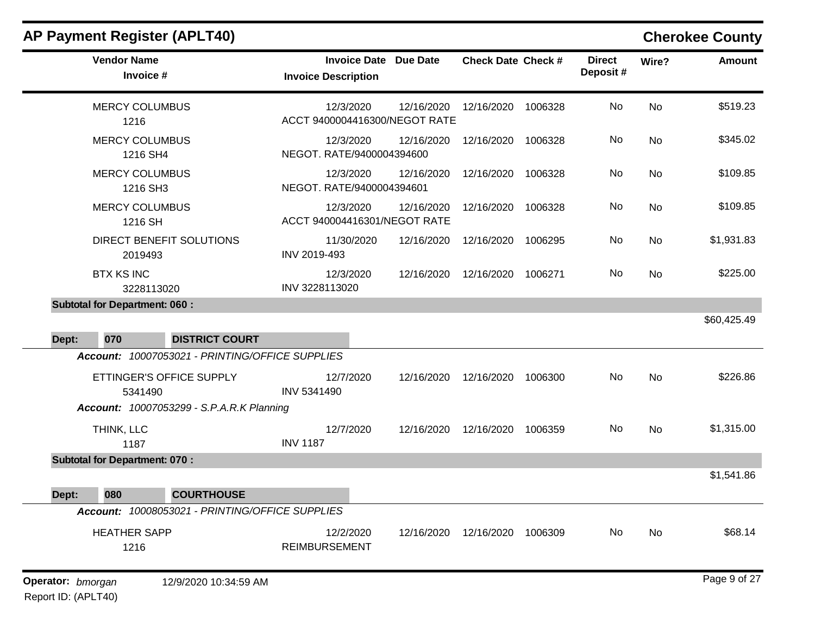| <b>Vendor Name</b><br>Invoice #                 | <b>Invoice Date Due Date</b><br><b>Invoice Description</b> |            | <b>Check Date Check #</b> |         | <b>Direct</b><br>Deposit# | Wire?     | <b>Amount</b> |
|-------------------------------------------------|------------------------------------------------------------|------------|---------------------------|---------|---------------------------|-----------|---------------|
| <b>MERCY COLUMBUS</b><br>1216                   | 12/3/2020<br>ACCT 9400004416300/NEGOT RATE                 | 12/16/2020 | 12/16/2020                | 1006328 | No                        | <b>No</b> | \$519.23      |
| <b>MERCY COLUMBUS</b><br>1216 SH4               | 12/3/2020<br>NEGOT. RATE/9400004394600                     | 12/16/2020 | 12/16/2020                | 1006328 | No                        | <b>No</b> | \$345.02      |
| <b>MERCY COLUMBUS</b><br>1216 SH3               | 12/3/2020<br>NEGOT. RATE/9400004394601                     | 12/16/2020 | 12/16/2020                | 1006328 | No                        | <b>No</b> | \$109.85      |
| <b>MERCY COLUMBUS</b><br>1216 SH                | 12/3/2020<br>ACCT 940004416301/NEGOT RATE                  | 12/16/2020 | 12/16/2020                | 1006328 | No                        | <b>No</b> | \$109.85      |
| DIRECT BENEFIT SOLUTIONS<br>2019493             | 11/30/2020<br>INV 2019-493                                 | 12/16/2020 | 12/16/2020                | 1006295 | No                        | <b>No</b> | \$1,931.83    |
| <b>BTX KS INC</b><br>3228113020                 | 12/3/2020<br>INV 3228113020                                | 12/16/2020 | 12/16/2020                | 1006271 | No.                       | <b>No</b> | \$225.00      |
| <b>Subtotal for Department: 060:</b>            |                                                            |            |                           |         |                           |           |               |
| 070<br><b>DISTRICT COURT</b><br>Dept:           |                                                            |            |                           |         |                           |           | \$60,425.49   |
| Account: 10007053021 - PRINTING/OFFICE SUPPLIES |                                                            |            |                           |         |                           |           |               |
| ETTINGER'S OFFICE SUPPLY<br>5341490             | 12/7/2020<br>INV 5341490                                   | 12/16/2020 | 12/16/2020                | 1006300 | No                        | <b>No</b> | \$226.86      |
| Account: 10007053299 - S.P.A.R.K Planning       |                                                            |            |                           |         |                           |           |               |
| THINK, LLC<br>1187                              | 12/7/2020<br><b>INV 1187</b>                               | 12/16/2020 | 12/16/2020                | 1006359 | No                        | <b>No</b> | \$1,315.00    |
| <b>Subtotal for Department: 070:</b>            |                                                            |            |                           |         |                           |           |               |
|                                                 |                                                            |            |                           |         |                           |           | \$1,541.86    |
| <b>COURTHOUSE</b><br>080<br>Dept:               |                                                            |            |                           |         |                           |           |               |
| Account: 10008053021 - PRINTING/OFFICE SUPPLIES |                                                            |            |                           |         |                           |           |               |
| <b>HEATHER SAPP</b><br>1216                     | 12/2/2020<br><b>REIMBURSEMENT</b>                          | 12/16/2020 | 12/16/2020                | 1006309 | No                        | <b>No</b> | \$68.14       |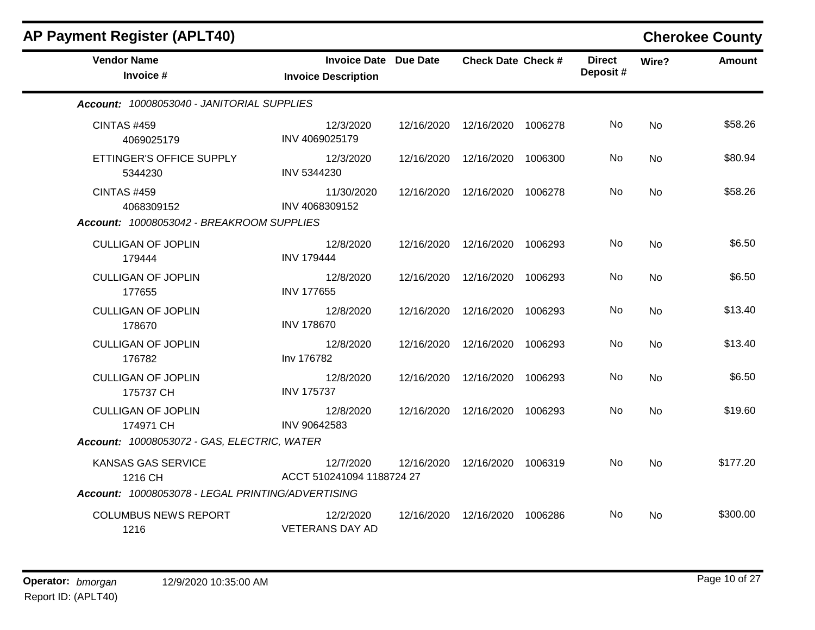| <b>AP Payment Register (APLT40)</b>                                                       |                                                            |            |                                 |         |                           |           | <b>Cherokee County</b> |
|-------------------------------------------------------------------------------------------|------------------------------------------------------------|------------|---------------------------------|---------|---------------------------|-----------|------------------------|
| <b>Vendor Name</b><br>Invoice #                                                           | <b>Invoice Date Due Date</b><br><b>Invoice Description</b> |            | <b>Check Date Check #</b>       |         | <b>Direct</b><br>Deposit# | Wire?     | <b>Amount</b>          |
| Account: 10008053040 - JANITORIAL SUPPLIES                                                |                                                            |            |                                 |         |                           |           |                        |
| <b>CINTAS #459</b><br>4069025179                                                          | 12/3/2020<br>INV 4069025179                                | 12/16/2020 | 12/16/2020 1006278              |         | No                        | No        | \$58.26                |
| ETTINGER'S OFFICE SUPPLY<br>5344230                                                       | 12/3/2020<br>INV 5344230                                   | 12/16/2020 | 12/16/2020                      | 1006300 | No                        | No        | \$80.94                |
| <b>CINTAS #459</b><br>4068309152                                                          | 11/30/2020<br>INV 4068309152                               | 12/16/2020 | 12/16/2020                      | 1006278 | No                        | <b>No</b> | \$58.26                |
| Account: 10008053042 - BREAKROOM SUPPLIES                                                 |                                                            |            |                                 |         |                           |           |                        |
| <b>CULLIGAN OF JOPLIN</b><br>179444                                                       | 12/8/2020<br><b>INV 179444</b>                             |            | 12/16/2020  12/16/2020  1006293 |         | No.                       | No        | \$6.50                 |
| <b>CULLIGAN OF JOPLIN</b><br>177655                                                       | 12/8/2020<br><b>INV 177655</b>                             | 12/16/2020 | 12/16/2020                      | 1006293 | No                        | No        | \$6.50                 |
| <b>CULLIGAN OF JOPLIN</b><br>178670                                                       | 12/8/2020<br><b>INV 178670</b>                             | 12/16/2020 | 12/16/2020                      | 1006293 | No.                       | No        | \$13.40                |
| <b>CULLIGAN OF JOPLIN</b><br>176782                                                       | 12/8/2020<br>Inv 176782                                    | 12/16/2020 | 12/16/2020                      | 1006293 | No                        | No        | \$13.40                |
| <b>CULLIGAN OF JOPLIN</b><br>175737 CH                                                    | 12/8/2020<br><b>INV 175737</b>                             | 12/16/2020 | 12/16/2020                      | 1006293 | No.                       | No        | \$6.50                 |
| <b>CULLIGAN OF JOPLIN</b><br>174971 CH                                                    | 12/8/2020<br>INV 90642583                                  | 12/16/2020 | 12/16/2020                      | 1006293 | No                        | <b>No</b> | \$19.60                |
| Account: 10008053072 - GAS, ELECTRIC, WATER                                               |                                                            |            |                                 |         |                           |           |                        |
| <b>KANSAS GAS SERVICE</b><br>1216 CH<br>Account: 10008053078 - LEGAL PRINTING/ADVERTISING | 12/7/2020<br>ACCT 510241094 1188724 27                     | 12/16/2020 | 12/16/2020                      | 1006319 | No                        | <b>No</b> | \$177.20               |
| <b>COLUMBUS NEWS REPORT</b><br>1216                                                       | 12/2/2020<br><b>VETERANS DAY AD</b>                        | 12/16/2020 | 12/16/2020                      | 1006286 | No.                       | No.       | \$300.00               |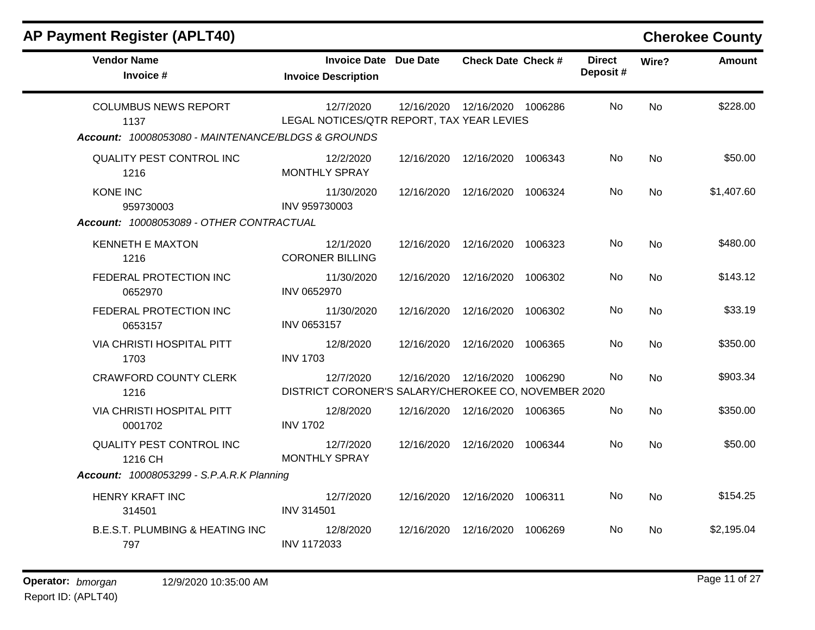| <b>Vendor Name</b><br>Invoice #                    | <b>Invoice Date Due Date</b><br><b>Invoice Description</b>        |            | <b>Check Date Check #</b>       | <b>Direct</b><br>Deposit# | Wire?     | <b>Amount</b> |
|----------------------------------------------------|-------------------------------------------------------------------|------------|---------------------------------|---------------------------|-----------|---------------|
| <b>COLUMBUS NEWS REPORT</b><br>1137                | 12/7/2020<br>LEGAL NOTICES/QTR REPORT, TAX YEAR LEVIES            |            | 12/16/2020  12/16/2020  1006286 | No                        | <b>No</b> | \$228.00      |
| Account: 10008053080 - MAINTENANCE/BLDGS & GROUNDS |                                                                   |            |                                 |                           |           |               |
| QUALITY PEST CONTROL INC<br>1216                   | 12/2/2020<br><b>MONTHLY SPRAY</b>                                 |            | 12/16/2020 12/16/2020 1006343   | No.                       | <b>No</b> | \$50.00       |
| <b>KONE INC</b><br>959730003                       | 11/30/2020<br>INV 959730003                                       |            | 12/16/2020  12/16/2020  1006324 | No                        | No        | \$1,407.60    |
| Account: 10008053089 - OTHER CONTRACTUAL           |                                                                   |            |                                 |                           |           |               |
| <b>KENNETH E MAXTON</b><br>1216                    | 12/1/2020<br><b>CORONER BILLING</b>                               |            | 12/16/2020  12/16/2020  1006323 | No                        | <b>No</b> | \$480.00      |
| FEDERAL PROTECTION INC<br>0652970                  | 11/30/2020<br>INV 0652970                                         |            | 12/16/2020  12/16/2020  1006302 | No                        | <b>No</b> | \$143.12      |
| FEDERAL PROTECTION INC<br>0653157                  | 11/30/2020<br>INV 0653157                                         | 12/16/2020 | 12/16/2020 1006302              | No                        | <b>No</b> | \$33.19       |
| VIA CHRISTI HOSPITAL PITT<br>1703                  | 12/8/2020<br><b>INV 1703</b>                                      |            | 12/16/2020  12/16/2020  1006365 | No                        | <b>No</b> | \$350.00      |
| <b>CRAWFORD COUNTY CLERK</b><br>1216               | 12/7/2020<br>DISTRICT CORONER'S SALARY/CHEROKEE CO, NOVEMBER 2020 |            | 12/16/2020  12/16/2020  1006290 | No.                       | <b>No</b> | \$903.34      |
| VIA CHRISTI HOSPITAL PITT<br>0001702               | 12/8/2020<br><b>INV 1702</b>                                      |            | 12/16/2020 12/16/2020 1006365   | No.                       | <b>No</b> | \$350.00      |
| QUALITY PEST CONTROL INC<br>1216 CH                | 12/7/2020<br><b>MONTHLY SPRAY</b>                                 |            | 12/16/2020  12/16/2020  1006344 | No.                       | <b>No</b> | \$50.00       |
| <b>Account: 10008053299 - S.P.A.R.K Planning</b>   |                                                                   |            |                                 |                           |           |               |
| <b>HENRY KRAFT INC</b><br>314501                   | 12/7/2020<br><b>INV 314501</b>                                    |            | 12/16/2020  12/16/2020  1006311 | No.                       | <b>No</b> | \$154.25      |
| <b>B.E.S.T. PLUMBING &amp; HEATING INC.</b><br>797 | 12/8/2020<br>INV 1172033                                          |            | 12/16/2020  12/16/2020  1006269 | No.                       | <b>No</b> | \$2,195.04    |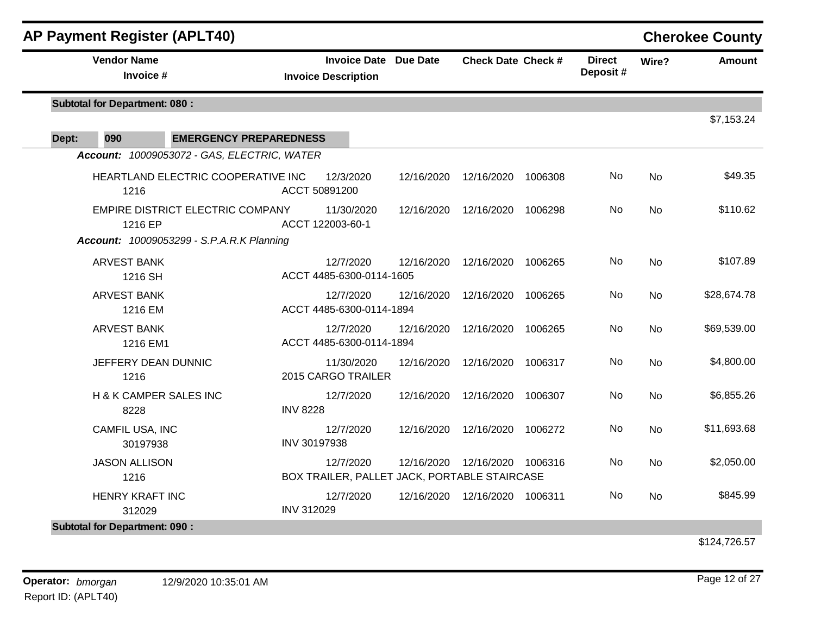| <b>AP Payment Register (APLT40)</b>              |                   |                                                            |            |                                 |         |                           |           | <b>Cherokee County</b> |
|--------------------------------------------------|-------------------|------------------------------------------------------------|------------|---------------------------------|---------|---------------------------|-----------|------------------------|
| <b>Vendor Name</b><br>Invoice #                  |                   | <b>Invoice Date Due Date</b><br><b>Invoice Description</b> |            | <b>Check Date Check #</b>       |         | <b>Direct</b><br>Deposit# | Wire?     | <b>Amount</b>          |
| <b>Subtotal for Department: 080:</b>             |                   |                                                            |            |                                 |         |                           |           | \$7,153.24             |
| Dept:<br>090<br><b>EMERGENCY PREPAREDNESS</b>    |                   |                                                            |            |                                 |         |                           |           |                        |
| Account: 10009053072 - GAS, ELECTRIC, WATER      |                   |                                                            |            |                                 |         |                           |           |                        |
|                                                  |                   |                                                            |            |                                 |         |                           |           |                        |
| HEARTLAND ELECTRIC COOPERATIVE INC<br>1216       | ACCT 50891200     | 12/3/2020                                                  | 12/16/2020 | 12/16/2020                      | 1006308 | No                        | <b>No</b> | \$49.35                |
| EMPIRE DISTRICT ELECTRIC COMPANY<br>1216 EP      | ACCT 122003-60-1  | 11/30/2020                                                 | 12/16/2020 | 12/16/2020                      | 1006298 | No                        | <b>No</b> | \$110.62               |
| <b>Account: 10009053299 - S.P.A.R.K Planning</b> |                   |                                                            |            |                                 |         |                           |           |                        |
| <b>ARVEST BANK</b><br>1216 SH                    |                   | 12/7/2020<br>ACCT 4485-6300-0114-1605                      | 12/16/2020 | 12/16/2020                      | 1006265 | No                        | <b>No</b> | \$107.89               |
| <b>ARVEST BANK</b>                               |                   | 12/7/2020                                                  | 12/16/2020 | 12/16/2020                      | 1006265 | No                        | <b>No</b> | \$28,674.78            |
| 1216 EM                                          |                   | ACCT 4485-6300-0114-1894                                   |            |                                 |         |                           |           |                        |
| <b>ARVEST BANK</b><br>1216 EM1                   |                   | 12/7/2020<br>ACCT 4485-6300-0114-1894                      | 12/16/2020 | 12/16/2020                      | 1006265 | No                        | <b>No</b> | \$69,539.00            |
| JEFFERY DEAN DUNNIC<br>1216                      |                   | 11/30/2020<br>2015 CARGO TRAILER                           | 12/16/2020 | 12/16/2020                      | 1006317 | No                        | <b>No</b> | \$4,800.00             |
| H & K CAMPER SALES INC<br>8228                   | <b>INV 8228</b>   | 12/7/2020                                                  | 12/16/2020 | 12/16/2020                      | 1006307 | No                        | <b>No</b> | \$6,855.26             |
| CAMFIL USA, INC<br>30197938                      | INV 30197938      | 12/7/2020                                                  | 12/16/2020 | 12/16/2020                      | 1006272 | No                        | <b>No</b> | \$11,693.68            |
| <b>JASON ALLISON</b><br>1216                     |                   | 12/7/2020<br>BOX TRAILER, PALLET JACK, PORTABLE STAIRCASE  | 12/16/2020 | 12/16/2020                      | 1006316 | No.                       | <b>No</b> | \$2,050.00             |
| <b>HENRY KRAFT INC</b><br>312029                 | <b>INV 312029</b> | 12/7/2020                                                  |            | 12/16/2020  12/16/2020  1006311 |         | No.                       | <b>No</b> | \$845.99               |
| <b>Subtotal for Department: 090:</b>             |                   |                                                            |            |                                 |         |                           |           |                        |

\$124,726.57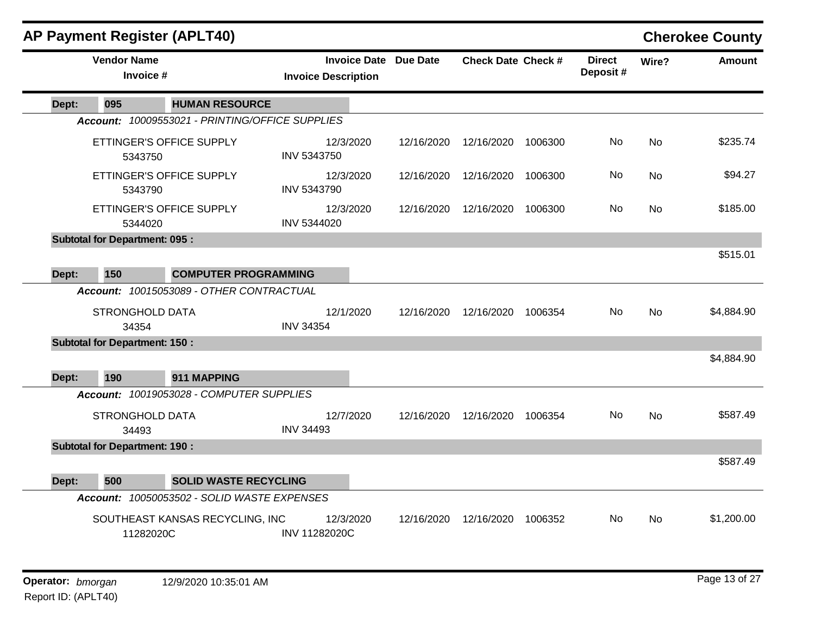|       | <b>AP Payment Register (APLT40)</b>  |                                                 |                            |                     |            |                           |         |                           |           | <b>Cherokee County</b> |
|-------|--------------------------------------|-------------------------------------------------|----------------------------|---------------------|------------|---------------------------|---------|---------------------------|-----------|------------------------|
|       | <b>Vendor Name</b><br>Invoice #      |                                                 | <b>Invoice Description</b> | <b>Invoice Date</b> | Due Date   | <b>Check Date Check #</b> |         | <b>Direct</b><br>Deposit# | Wire?     | <b>Amount</b>          |
| Dept: | 095                                  | <b>HUMAN RESOURCE</b>                           |                            |                     |            |                           |         |                           |           |                        |
|       |                                      | Account: 10009553021 - PRINTING/OFFICE SUPPLIES |                            |                     |            |                           |         |                           |           |                        |
|       | ETTINGER'S OFFICE SUPPLY<br>5343750  |                                                 | INV 5343750                | 12/3/2020           | 12/16/2020 | 12/16/2020                | 1006300 | No.                       | <b>No</b> | \$235.74               |
|       | ETTINGER'S OFFICE SUPPLY<br>5343790  |                                                 | <b>INV 5343790</b>         | 12/3/2020           | 12/16/2020 | 12/16/2020                | 1006300 | No                        | No        | \$94.27                |
|       | ETTINGER'S OFFICE SUPPLY<br>5344020  |                                                 | INV 5344020                | 12/3/2020           | 12/16/2020 | 12/16/2020                | 1006300 | No.                       | <b>No</b> | \$185.00               |
|       | <b>Subtotal for Department: 095:</b> |                                                 |                            |                     |            |                           |         |                           |           |                        |
| Dept: | 150                                  | <b>COMPUTER PROGRAMMING</b>                     |                            |                     |            |                           |         |                           |           | \$515.01               |
|       |                                      | Account: 10015053089 - OTHER CONTRACTUAL        |                            |                     |            |                           |         |                           |           |                        |
|       | <b>STRONGHOLD DATA</b><br>34354      |                                                 | <b>INV 34354</b>           | 12/1/2020           | 12/16/2020 | 12/16/2020                | 1006354 | No.                       | No        | \$4,884.90             |
|       | <b>Subtotal for Department: 150:</b> |                                                 |                            |                     |            |                           |         |                           |           |                        |
| Dept: | 190                                  | 911 MAPPING                                     |                            |                     |            |                           |         |                           |           | \$4,884.90             |
|       |                                      | Account: 10019053028 - COMPUTER SUPPLIES        |                            |                     |            |                           |         |                           |           |                        |
|       | <b>STRONGHOLD DATA</b><br>34493      |                                                 | <b>INV 34493</b>           | 12/7/2020           | 12/16/2020 | 12/16/2020                | 1006354 | No                        | <b>No</b> | \$587.49               |
|       | <b>Subtotal for Department: 190:</b> |                                                 |                            |                     |            |                           |         |                           |           |                        |
| Dept: | 500                                  | <b>SOLID WASTE RECYCLING</b>                    |                            |                     |            |                           |         |                           |           | \$587.49               |
|       |                                      | Account: 10050053502 - SOLID WASTE EXPENSES     |                            |                     |            |                           |         |                           |           |                        |
|       | 11282020C                            | SOUTHEAST KANSAS RECYCLING, INC                 | <b>INV 11282020C</b>       | 12/3/2020           | 12/16/2020 | 12/16/2020                | 1006352 | No.                       | <b>No</b> | \$1,200.00             |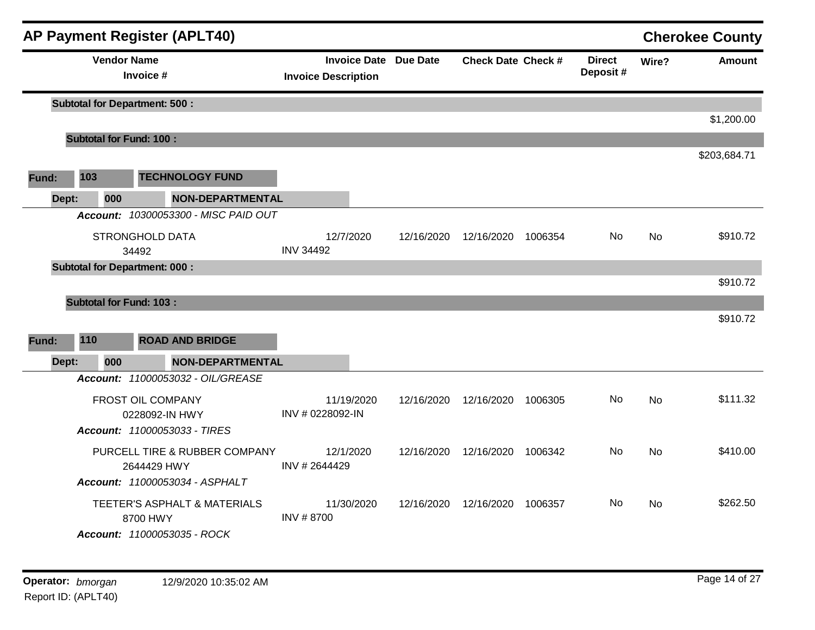|       |     | <b>AP Payment Register (APLT40)</b>            |                                                            |            |                           |         |                           |           | <b>Cherokee County</b> |
|-------|-----|------------------------------------------------|------------------------------------------------------------|------------|---------------------------|---------|---------------------------|-----------|------------------------|
|       |     | <b>Vendor Name</b><br>Invoice #                | <b>Invoice Date Due Date</b><br><b>Invoice Description</b> |            | <b>Check Date Check #</b> |         | <b>Direct</b><br>Deposit# | Wire?     | <b>Amount</b>          |
|       |     | <b>Subtotal for Department: 500:</b>           |                                                            |            |                           |         |                           |           |                        |
|       |     |                                                |                                                            |            |                           |         |                           |           | \$1,200.00             |
|       |     | <b>Subtotal for Fund: 100:</b>                 |                                                            |            |                           |         |                           |           | \$203,684.71           |
| Fund: | 103 | <b>TECHNOLOGY FUND</b>                         |                                                            |            |                           |         |                           |           |                        |
| Dept: | 000 | NON-DEPARTMENTAL                               |                                                            |            |                           |         |                           |           |                        |
|       |     | Account: 10300053300 - MISC PAID OUT           |                                                            |            |                           |         |                           |           |                        |
|       |     | <b>STRONGHOLD DATA</b><br>34492                | 12/7/2020<br><b>INV 34492</b>                              | 12/16/2020 | 12/16/2020                | 1006354 | No                        | <b>No</b> | \$910.72               |
|       |     | <b>Subtotal for Department: 000:</b>           |                                                            |            |                           |         |                           |           |                        |
|       |     |                                                |                                                            |            |                           |         |                           |           | \$910.72               |
|       |     | <b>Subtotal for Fund: 103:</b>                 |                                                            |            |                           |         |                           |           |                        |
|       |     |                                                |                                                            |            |                           |         |                           |           | \$910.72               |
| Fund: | 110 | <b>ROAD AND BRIDGE</b>                         |                                                            |            |                           |         |                           |           |                        |
| Dept: | 000 | <b>NON-DEPARTMENTAL</b>                        |                                                            |            |                           |         |                           |           |                        |
|       |     | Account: 11000053032 - OIL/GREASE              |                                                            |            |                           |         |                           |           |                        |
|       |     | FROST OIL COMPANY                              | 11/19/2020                                                 | 12/16/2020 | 12/16/2020                | 1006305 | No                        | <b>No</b> | \$111.32               |
|       |     | 0228092-IN HWY<br>Account: 11000053033 - TIRES | INV # 0228092-IN                                           |            |                           |         |                           |           |                        |
|       |     | PURCELL TIRE & RUBBER COMPANY                  | 12/1/2020                                                  | 12/16/2020 | 12/16/2020                |         | No                        | <b>No</b> | \$410.00               |
|       |     | 2644429 HWY                                    | INV #2644429                                               |            |                           | 1006342 |                           |           |                        |
|       |     | Account: 11000053034 - ASPHALT                 |                                                            |            |                           |         |                           |           |                        |
|       |     | TEETER'S ASPHALT & MATERIALS<br>8700 HWY       | 11/30/2020<br><b>INV #8700</b>                             | 12/16/2020 | 12/16/2020                | 1006357 | No                        | <b>No</b> | \$262.50               |
|       |     | Account: 11000053035 - ROCK                    |                                                            |            |                           |         |                           |           |                        |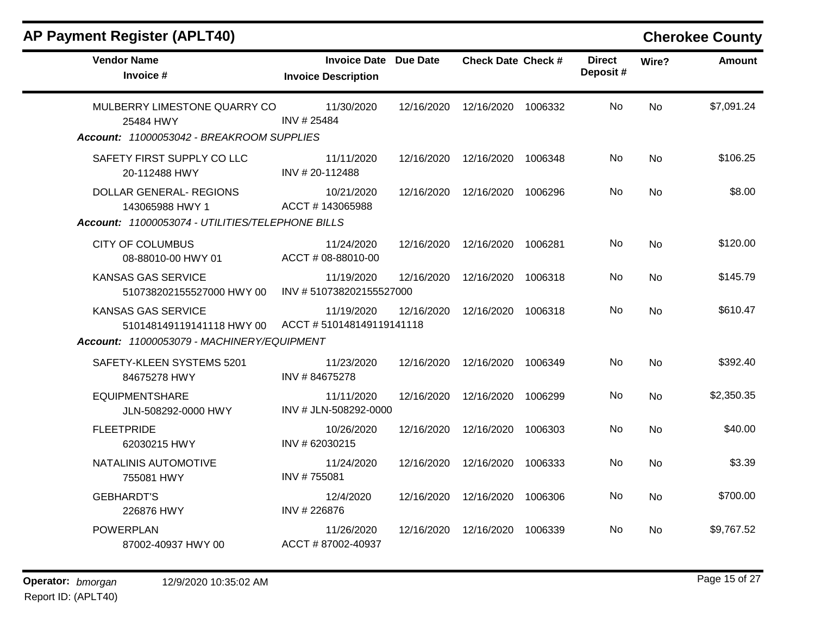| <b>Vendor Name</b><br>Invoice #                                                                      | <b>Invoice Date Due Date</b><br><b>Invoice Description</b> |            | <b>Check Date Check #</b>     |         | <b>Direct</b><br>Deposit# | Wire?     | <b>Amount</b> |
|------------------------------------------------------------------------------------------------------|------------------------------------------------------------|------------|-------------------------------|---------|---------------------------|-----------|---------------|
| MULBERRY LIMESTONE QUARRY CO<br>25484 HWY<br>Account: 11000053042 - BREAKROOM SUPPLIES               | 11/30/2020<br>INV #25484                                   | 12/16/2020 | 12/16/2020 1006332            |         | No.                       | <b>No</b> | \$7,091.24    |
| SAFETY FIRST SUPPLY CO LLC<br>20-112488 HWY                                                          | 11/11/2020<br>INV #20-112488                               |            | 12/16/2020 12/16/2020         | 1006348 | No.                       | <b>No</b> | \$106.25      |
| DOLLAR GENERAL- REGIONS<br>143065988 HWY 1<br>Account: 11000053074 - UTILITIES/TELEPHONE BILLS       | 10/21/2020<br>ACCT #143065988                              |            | 12/16/2020 12/16/2020         | 1006296 | No.                       | <b>No</b> | \$8.00        |
| <b>CITY OF COLUMBUS</b><br>08-88010-00 HWY 01                                                        | 11/24/2020<br>ACCT # 08-88010-00                           |            | 12/16/2020 12/16/2020 1006281 |         | No.                       | <b>No</b> | \$120.00      |
| KANSAS GAS SERVICE<br>510738202155527000 HWY 00                                                      | 11/19/2020<br>INV #510738202155527000                      | 12/16/2020 | 12/16/2020                    | 1006318 | No.                       | <b>No</b> | \$145.79      |
| <b>KANSAS GAS SERVICE</b><br>510148149119141118 HWY 00<br>Account: 11000053079 - MACHINERY/EQUIPMENT | 11/19/2020<br>ACCT #510148149119141118                     | 12/16/2020 | 12/16/2020 1006318            |         | No.                       | <b>No</b> | \$610.47      |
| SAFETY-KLEEN SYSTEMS 5201<br>84675278 HWY                                                            | 11/23/2020<br>INV #84675278                                | 12/16/2020 | 12/16/2020                    | 1006349 | No                        | <b>No</b> | \$392.40      |
| <b>EQUIPMENTSHARE</b><br>JLN-508292-0000 HWY                                                         | 11/11/2020<br>INV # JLN-508292-0000                        | 12/16/2020 | 12/16/2020                    | 1006299 | No.                       | <b>No</b> | \$2,350.35    |
| <b>FLEETPRIDE</b><br>62030215 HWY                                                                    | 10/26/2020<br>INV # 62030215                               | 12/16/2020 | 12/16/2020                    | 1006303 | No                        | <b>No</b> | \$40.00       |
| NATALINIS AUTOMOTIVE<br>755081 HWY                                                                   | 11/24/2020<br>INV #755081                                  | 12/16/2020 | 12/16/2020                    | 1006333 | No                        | <b>No</b> | \$3.39        |
| <b>GEBHARDT'S</b><br>226876 HWY                                                                      | 12/4/2020<br>INV #226876                                   | 12/16/2020 | 12/16/2020                    | 1006306 | No                        | <b>No</b> | \$700.00      |
| <b>POWERPLAN</b><br>87002-40937 HWY 00                                                               | 11/26/2020<br>ACCT #87002-40937                            | 12/16/2020 | 12/16/2020                    | 1006339 | No.                       | <b>No</b> | \$9,767.52    |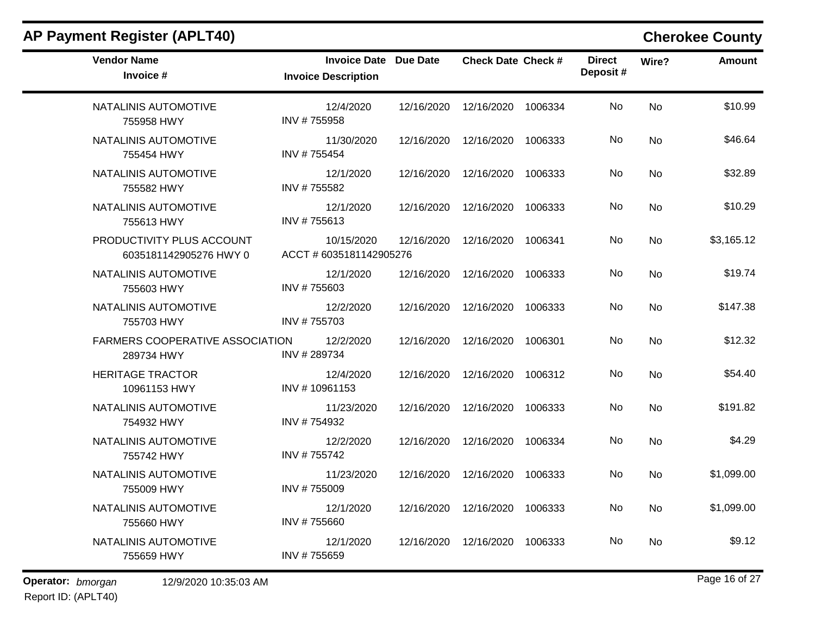| <b>AP Payment Register (APLT40)</b>                  |                                                            |            |                           |         |                           |           | <b>Cherokee County</b> |
|------------------------------------------------------|------------------------------------------------------------|------------|---------------------------|---------|---------------------------|-----------|------------------------|
| <b>Vendor Name</b><br>Invoice #                      | <b>Invoice Date Due Date</b><br><b>Invoice Description</b> |            | <b>Check Date Check #</b> |         | <b>Direct</b><br>Deposit# | Wire?     | <b>Amount</b>          |
| NATALINIS AUTOMOTIVE<br>755958 HWY                   | 12/4/2020<br>INV #755958                                   | 12/16/2020 | 12/16/2020                | 1006334 | No                        | <b>No</b> | \$10.99                |
| NATALINIS AUTOMOTIVE<br>755454 HWY                   | 11/30/2020<br>INV #755454                                  | 12/16/2020 | 12/16/2020                | 1006333 | No                        | No        | \$46.64                |
| NATALINIS AUTOMOTIVE<br>755582 HWY                   | 12/1/2020<br>INV #755582                                   | 12/16/2020 | 12/16/2020                | 1006333 | No.                       | No        | \$32.89                |
| NATALINIS AUTOMOTIVE<br>755613 HWY                   | 12/1/2020<br>INV #755613                                   | 12/16/2020 | 12/16/2020                | 1006333 | No                        | No        | \$10.29                |
| PRODUCTIVITY PLUS ACCOUNT<br>6035181142905276 HWY 0  | 10/15/2020<br>ACCT # 6035181142905276                      | 12/16/2020 | 12/16/2020                | 1006341 | No                        | No        | \$3,165.12             |
| NATALINIS AUTOMOTIVE<br>755603 HWY                   | 12/1/2020<br>INV #755603                                   | 12/16/2020 | 12/16/2020                | 1006333 | No                        | No        | \$19.74                |
| NATALINIS AUTOMOTIVE<br>755703 HWY                   | 12/2/2020<br>INV #755703                                   | 12/16/2020 | 12/16/2020                | 1006333 | No                        | No        | \$147.38               |
| <b>FARMERS COOPERATIVE ASSOCIATION</b><br>289734 HWY | 12/2/2020<br>INV #289734                                   | 12/16/2020 | 12/16/2020                | 1006301 | No                        | No        | \$12.32                |
| <b>HERITAGE TRACTOR</b><br>10961153 HWY              | 12/4/2020<br>INV #10961153                                 | 12/16/2020 | 12/16/2020                | 1006312 | No                        | No        | \$54.40                |
| NATALINIS AUTOMOTIVE<br>754932 HWY                   | 11/23/2020<br>INV #754932                                  | 12/16/2020 | 12/16/2020                | 1006333 | No                        | No        | \$191.82               |
| NATALINIS AUTOMOTIVE<br>755742 HWY                   | 12/2/2020<br>INV #755742                                   | 12/16/2020 | 12/16/2020                | 1006334 | No                        | No        | \$4.29                 |
| NATALINIS AUTOMOTIVE<br>755009 HWY                   | 11/23/2020<br>INV #755009                                  | 12/16/2020 | 12/16/2020                | 1006333 | No                        | No        | \$1,099.00             |
| NATALINIS AUTOMOTIVE<br>755660 HWY                   | 12/1/2020<br>INV #755660                                   |            | 12/16/2020  12/16/2020    | 1006333 | No                        | No        | \$1,099.00             |
| NATALINIS AUTOMOTIVE<br>755659 HWY                   | 12/1/2020<br>INV #755659                                   | 12/16/2020 | 12/16/2020                | 1006333 | No                        | No        | \$9.12                 |

Report ID: (APLT40)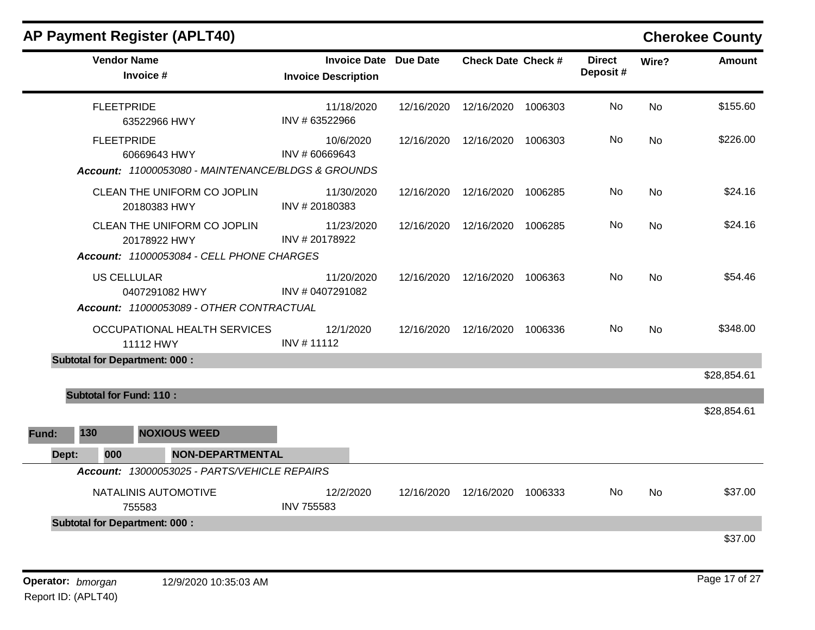|       |     |     | <b>AP Payment Register (APLT40)</b>                                                      |                                                            |            |                                 |         |                           |           | <b>Cherokee County</b> |
|-------|-----|-----|------------------------------------------------------------------------------------------|------------------------------------------------------------|------------|---------------------------------|---------|---------------------------|-----------|------------------------|
|       |     |     | <b>Vendor Name</b><br>Invoice #                                                          | <b>Invoice Date Due Date</b><br><b>Invoice Description</b> |            | <b>Check Date Check #</b>       |         | <b>Direct</b><br>Deposit# | Wire?     | <b>Amount</b>          |
|       |     |     | <b>FLEETPRIDE</b><br>63522966 HWY                                                        | 11/18/2020<br>INV # 63522966                               | 12/16/2020 | 12/16/2020                      | 1006303 | No                        | <b>No</b> | \$155.60               |
|       |     |     | <b>FLEETPRIDE</b><br>60669643 HWY                                                        | 10/6/2020<br>INV # 60669643                                | 12/16/2020 | 12/16/2020 1006303              |         | No.                       | No        | \$226.00               |
|       |     |     | Account: 11000053080 - MAINTENANCE/BLDGS & GROUNDS                                       |                                                            |            |                                 |         |                           |           |                        |
|       |     |     | CLEAN THE UNIFORM CO JOPLIN<br>20180383 HWY                                              | 11/30/2020<br>INV #20180383                                | 12/16/2020 | 12/16/2020                      | 1006285 | No.                       | <b>No</b> | \$24.16                |
|       |     |     | CLEAN THE UNIFORM CO JOPLIN<br>20178922 HWY<br>Account: 11000053084 - CELL PHONE CHARGES | 11/23/2020<br>INV # 20178922                               | 12/16/2020 | 12/16/2020                      | 1006285 | No.                       | No        | \$24.16                |
|       |     |     | <b>US CELLULAR</b><br>0407291082 HWY<br>Account: 11000053089 - OTHER CONTRACTUAL         | 11/20/2020<br>INV # 0407291082                             |            | 12/16/2020  12/16/2020  1006363 |         | No.                       | No        | \$54.46                |
|       |     |     | OCCUPATIONAL HEALTH SERVICES<br>11112 HWY                                                | 12/1/2020<br>INV #11112                                    | 12/16/2020 | 12/16/2020                      | 1006336 | No.                       | No        | \$348.00               |
|       |     |     | <b>Subtotal for Department: 000:</b>                                                     |                                                            |            |                                 |         |                           |           |                        |
|       |     |     |                                                                                          |                                                            |            |                                 |         |                           |           | \$28,854.61            |
|       |     |     | <b>Subtotal for Fund: 110:</b>                                                           |                                                            |            |                                 |         |                           |           |                        |
|       |     |     |                                                                                          |                                                            |            |                                 |         |                           |           | \$28,854.61            |
| Fund: | 130 |     | <b>NOXIOUS WEED</b>                                                                      |                                                            |            |                                 |         |                           |           |                        |
| Dept: |     | 000 | <b>NON-DEPARTMENTAL</b>                                                                  |                                                            |            |                                 |         |                           |           |                        |
|       |     |     | Account: 13000053025 - PARTS/VEHICLE REPAIRS                                             |                                                            |            |                                 |         |                           |           |                        |
|       |     |     | NATALINIS AUTOMOTIVE<br>755583                                                           | 12/2/2020<br><b>INV 755583</b>                             | 12/16/2020 | 12/16/2020                      | 1006333 | No.                       | No        | \$37.00                |
|       |     |     | <b>Subtotal for Department: 000:</b>                                                     |                                                            |            |                                 |         |                           |           |                        |
|       |     |     |                                                                                          |                                                            |            |                                 |         |                           |           | \$37.00                |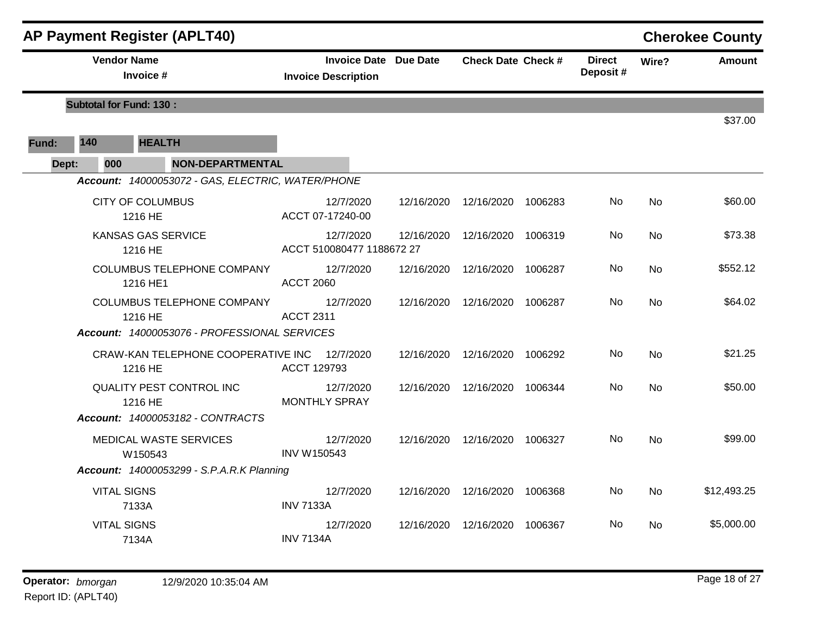|       |                                | <b>AP Payment Register (APLT40)</b>               |                                                            |            |                           |         |                           |           | <b>Cherokee County</b> |
|-------|--------------------------------|---------------------------------------------------|------------------------------------------------------------|------------|---------------------------|---------|---------------------------|-----------|------------------------|
|       | <b>Vendor Name</b>             | Invoice #                                         | <b>Invoice Date Due Date</b><br><b>Invoice Description</b> |            | <b>Check Date Check #</b> |         | <b>Direct</b><br>Deposit# | Wire?     | <b>Amount</b>          |
|       | <b>Subtotal for Fund: 130:</b> |                                                   |                                                            |            |                           |         |                           |           |                        |
|       |                                |                                                   |                                                            |            |                           |         |                           |           | \$37.00                |
| Fund: | 140                            | <b>HEALTH</b>                                     |                                                            |            |                           |         |                           |           |                        |
| Dept: | 000                            | <b>NON-DEPARTMENTAL</b>                           |                                                            |            |                           |         |                           |           |                        |
|       |                                | Account: 14000053072 - GAS, ELECTRIC, WATER/PHONE |                                                            |            |                           |         |                           |           |                        |
|       |                                | <b>CITY OF COLUMBUS</b><br>1216 HE                | 12/7/2020<br>ACCT 07-17240-00                              | 12/16/2020 | 12/16/2020                | 1006283 | No                        | <b>No</b> | \$60.00                |
|       |                                | <b>KANSAS GAS SERVICE</b><br>1216 HE              | 12/7/2020<br>ACCT 510080477 1188672 27                     | 12/16/2020 | 12/16/2020 1006319        |         | No.                       | <b>No</b> | \$73.38                |
|       |                                | <b>COLUMBUS TELEPHONE COMPANY</b><br>1216 HE1     | 12/7/2020<br><b>ACCT 2060</b>                              | 12/16/2020 | 12/16/2020                | 1006287 | No                        | <b>No</b> | \$552.12               |
|       |                                | <b>COLUMBUS TELEPHONE COMPANY</b><br>1216 HE      | 12/7/2020<br><b>ACCT 2311</b>                              | 12/16/2020 | 12/16/2020 1006287        |         | No                        | No.       | \$64.02                |
|       |                                | Account: 14000053076 - PROFESSIONAL SERVICES      |                                                            |            |                           |         |                           |           |                        |
|       |                                | CRAW-KAN TELEPHONE COOPERATIVE INC<br>1216 HE     | 12/7/2020<br>ACCT 129793                                   | 12/16/2020 | 12/16/2020 1006292        |         | No                        | <b>No</b> | \$21.25                |
|       |                                | QUALITY PEST CONTROL INC<br>1216 HE               | 12/7/2020<br><b>MONTHLY SPRAY</b>                          | 12/16/2020 | 12/16/2020 1006344        |         | No.                       | <b>No</b> | \$50.00                |
|       |                                | Account: 14000053182 - CONTRACTS                  |                                                            |            |                           |         |                           |           |                        |
|       |                                | <b>MEDICAL WASTE SERVICES</b><br>W150543          | 12/7/2020<br><b>INV W150543</b>                            | 12/16/2020 | 12/16/2020                | 1006327 | No.                       | <b>No</b> | \$99.00                |
|       |                                | <b>Account: 14000053299 - S.P.A.R.K Planning</b>  |                                                            |            |                           |         |                           |           |                        |
|       | <b>VITAL SIGNS</b>             | 7133A                                             | 12/7/2020<br><b>INV 7133A</b>                              | 12/16/2020 | 12/16/2020 1006368        |         | No                        | No        | \$12,493.25            |
|       | <b>VITAL SIGNS</b>             | 7134A                                             | 12/7/2020<br><b>INV 7134A</b>                              | 12/16/2020 | 12/16/2020                | 1006367 | No                        | No.       | \$5,000.00             |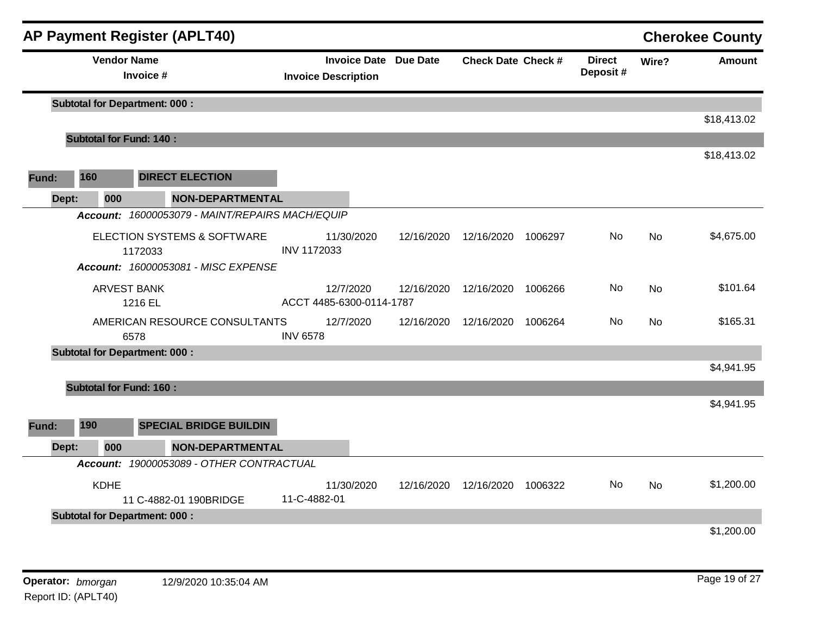|       |                                | <b>AP Payment Register (APLT40)</b>                                                      |                                                            |            |                                 |         |                           |       | <b>Cherokee County</b> |
|-------|--------------------------------|------------------------------------------------------------------------------------------|------------------------------------------------------------|------------|---------------------------------|---------|---------------------------|-------|------------------------|
|       | <b>Vendor Name</b>             | Invoice #                                                                                | <b>Invoice Date Due Date</b><br><b>Invoice Description</b> |            | <b>Check Date Check #</b>       |         | <b>Direct</b><br>Deposit# | Wire? | <b>Amount</b>          |
|       |                                | <b>Subtotal for Department: 000:</b>                                                     |                                                            |            |                                 |         |                           |       | \$18,413.02            |
|       | <b>Subtotal for Fund: 140:</b> |                                                                                          |                                                            |            |                                 |         |                           |       |                        |
|       |                                |                                                                                          |                                                            |            |                                 |         |                           |       | \$18,413.02            |
| Fund: | 160                            | <b>DIRECT ELECTION</b>                                                                   |                                                            |            |                                 |         |                           |       |                        |
| Dept: | 000                            | <b>NON-DEPARTMENTAL</b>                                                                  |                                                            |            |                                 |         |                           |       |                        |
|       |                                | Account: 16000053079 - MAINT/REPAIRS MACH/EQUIP                                          |                                                            |            |                                 |         |                           |       |                        |
|       |                                | <b>ELECTION SYSTEMS &amp; SOFTWARE</b><br>1172033<br>Account: 16000053081 - MISC EXPENSE | 11/30/2020<br>INV 1172033                                  | 12/16/2020 | 12/16/2020                      | 1006297 | No                        | No    | \$4,675.00             |
|       |                                | <b>ARVEST BANK</b><br>1216 EL                                                            | 12/7/2020<br>ACCT 4485-6300-0114-1787                      | 12/16/2020 | 12/16/2020                      | 1006266 | No                        | No    | \$101.64               |
|       |                                | AMERICAN RESOURCE CONSULTANTS<br>6578                                                    | 12/7/2020<br><b>INV 6578</b>                               | 12/16/2020 | 12/16/2020                      | 1006264 | No                        | No    | \$165.31               |
|       |                                | <b>Subtotal for Department: 000:</b>                                                     |                                                            |            |                                 |         |                           |       | \$4,941.95             |
|       | <b>Subtotal for Fund: 160:</b> |                                                                                          |                                                            |            |                                 |         |                           |       |                        |
| Fund: | 190                            | <b>SPECIAL BRIDGE BUILDIN</b>                                                            |                                                            |            |                                 |         |                           |       | \$4,941.95             |
| Dept: | 000                            | <b>NON-DEPARTMENTAL</b>                                                                  |                                                            |            |                                 |         |                           |       |                        |
|       |                                | Account: 19000053089 - OTHER CONTRACTUAL                                                 |                                                            |            |                                 |         |                           |       |                        |
|       | <b>KDHE</b>                    | 11 C-4882-01 190BRIDGE                                                                   | 11/30/2020<br>11-C-4882-01                                 |            | 12/16/2020  12/16/2020  1006322 |         | No                        | No.   | \$1,200.00             |
|       |                                | <b>Subtotal for Department: 000:</b>                                                     |                                                            |            |                                 |         |                           |       | \$1,200.00             |
|       | Operator: bmorgan              | 12/9/2020 10:35:04 AM                                                                    |                                                            |            |                                 |         |                           |       | Page 19 of 27          |

Report ID: (APLT40)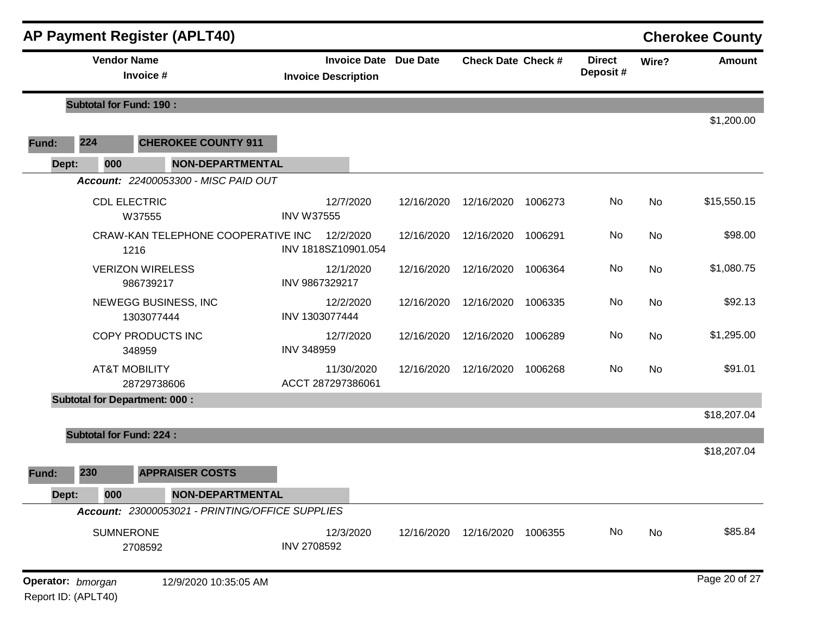|       |                                          | <b>AP Payment Register (APLT40)</b>             |                            |            |                              |                           |         |                           |           | <b>Cherokee County</b> |
|-------|------------------------------------------|-------------------------------------------------|----------------------------|------------|------------------------------|---------------------------|---------|---------------------------|-----------|------------------------|
|       | <b>Vendor Name</b>                       | Invoice #                                       | <b>Invoice Description</b> |            | <b>Invoice Date Due Date</b> | <b>Check Date Check #</b> |         | <b>Direct</b><br>Deposit# | Wire?     | <b>Amount</b>          |
|       | <b>Subtotal for Fund: 190:</b>           |                                                 |                            |            |                              |                           |         |                           |           |                        |
| Fund: | 224                                      | <b>CHEROKEE COUNTY 911</b>                      |                            |            |                              |                           |         |                           |           | \$1,200.00             |
| Dept: | 000                                      | <b>NON-DEPARTMENTAL</b>                         |                            |            |                              |                           |         |                           |           |                        |
|       |                                          | Account: 22400053300 - MISC PAID OUT            |                            |            |                              |                           |         |                           |           |                        |
|       | <b>CDL ELECTRIC</b>                      | W37555                                          | <b>INV W37555</b>          | 12/7/2020  | 12/16/2020                   | 12/16/2020                | 1006273 | No                        | <b>No</b> | \$15,550.15            |
|       |                                          | CRAW-KAN TELEPHONE COOPERATIVE INC<br>1216      | INV 1818SZ10901.054        | 12/2/2020  | 12/16/2020                   | 12/16/2020                | 1006291 | No                        | No        | \$98.00                |
|       |                                          | <b>VERIZON WIRELESS</b><br>986739217            | INV 9867329217             | 12/1/2020  | 12/16/2020                   | 12/16/2020                | 1006364 | No                        | No        | \$1,080.75             |
|       |                                          | NEWEGG BUSINESS, INC<br>1303077444              | INV 1303077444             | 12/2/2020  | 12/16/2020                   | 12/16/2020                | 1006335 | No                        | No        | \$92.13                |
|       |                                          | COPY PRODUCTS INC<br>348959                     | <b>INV 348959</b>          | 12/7/2020  | 12/16/2020                   | 12/16/2020                | 1006289 | No                        | No        | \$1,295.00             |
|       |                                          | <b>AT&amp;T MOBILITY</b><br>28729738606         | ACCT 287297386061          | 11/30/2020 | 12/16/2020                   | 12/16/2020                | 1006268 | No                        | No        | \$91.01                |
|       |                                          | <b>Subtotal for Department: 000:</b>            |                            |            |                              |                           |         |                           |           |                        |
|       |                                          |                                                 |                            |            |                              |                           |         |                           |           | \$18,207.04            |
|       | <b>Subtotal for Fund: 224:</b>           |                                                 |                            |            |                              |                           |         |                           |           |                        |
| Fund: | 230                                      | <b>APPRAISER COSTS</b>                          |                            |            |                              |                           |         |                           |           | \$18,207.04            |
| Dept: | 000                                      | NON-DEPARTMENTAL                                |                            |            |                              |                           |         |                           |           |                        |
|       |                                          | Account: 23000053021 - PRINTING/OFFICE SUPPLIES |                            |            |                              |                           |         |                           |           |                        |
|       | <b>SUMNERONE</b>                         | 2708592                                         | <b>INV 2708592</b>         | 12/3/2020  | 12/16/2020                   | 12/16/2020                | 1006355 | No                        | No        | \$85.84                |
|       | Operator: bmorgan<br>Report ID: (APLT40) | 12/9/2020 10:35:05 AM                           |                            |            |                              |                           |         |                           |           | Page 20 of 27          |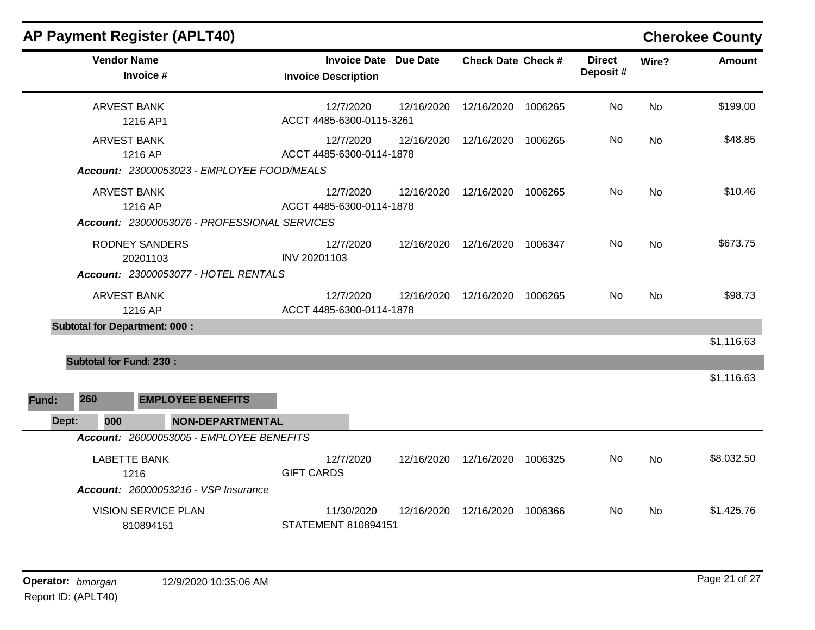| <b>AP Payment Register (APLT40)</b>                                           |                                                   |                 |                    |         |                           |           | <b>Cherokee County</b> |
|-------------------------------------------------------------------------------|---------------------------------------------------|-----------------|--------------------|---------|---------------------------|-----------|------------------------|
| <b>Vendor Name</b><br>Invoice #                                               | <b>Invoice Date</b><br><b>Invoice Description</b> | <b>Due Date</b> | Check Date Check # |         | <b>Direct</b><br>Deposit# | Wire?     | <b>Amount</b>          |
| <b>ARVEST BANK</b><br>1216 AP1                                                | 12/7/2020<br>ACCT 4485-6300-0115-3261             | 12/16/2020      | 12/16/2020         | 1006265 | No.                       | <b>No</b> | \$199.00               |
| <b>ARVEST BANK</b><br>1216 AP<br>Account: 23000053023 - EMPLOYEE FOOD/MEALS   | 12/7/2020<br>ACCT 4485-6300-0114-1878             | 12/16/2020      | 12/16/2020         | 1006265 | No                        | <b>No</b> | \$48.85                |
| <b>ARVEST BANK</b><br>1216 AP<br>Account: 23000053076 - PROFESSIONAL SERVICES | 12/7/2020<br>ACCT 4485-6300-0114-1878             | 12/16/2020      | 12/16/2020         | 1006265 | No.                       | <b>No</b> | \$10.46                |
| <b>RODNEY SANDERS</b><br>20201103<br>Account: 23000053077 - HOTEL RENTALS     | 12/7/2020<br>INV 20201103                         | 12/16/2020      | 12/16/2020 1006347 |         | No.                       | <b>No</b> | \$673.75               |
| <b>ARVEST BANK</b><br>1216 AP                                                 | 12/7/2020<br>ACCT 4485-6300-0114-1878             | 12/16/2020      | 12/16/2020         | 1006265 | No.                       | <b>No</b> | \$98.73                |
| <b>Subtotal for Department: 000:</b>                                          |                                                   |                 |                    |         |                           |           |                        |
| <b>Subtotal for Fund: 230:</b>                                                |                                                   |                 |                    |         |                           |           | \$1,116.63             |
| 260<br><b>EMPLOYEE BENEFITS</b><br>Fund:                                      |                                                   |                 |                    |         |                           |           | \$1,116.63             |
| <b>NON-DEPARTMENTAL</b><br>Dept:<br>000                                       |                                                   |                 |                    |         |                           |           |                        |
| Account: 26000053005 - EMPLOYEE BENEFITS                                      |                                                   |                 |                    |         |                           |           |                        |
| <b>LABETTE BANK</b><br>1216<br><b>Account: 26000053216 - VSP Insurance</b>    | 12/7/2020<br><b>GIFT CARDS</b>                    | 12/16/2020      | 12/16/2020         | 1006325 | No.                       | <b>No</b> | \$8,032.50             |
| <b>VISION SERVICE PLAN</b><br>810894151                                       | 11/30/2020<br><b>STATEMENT 810894151</b>          | 12/16/2020      | 12/16/2020         | 1006366 | No.                       | <b>No</b> | \$1,425.76             |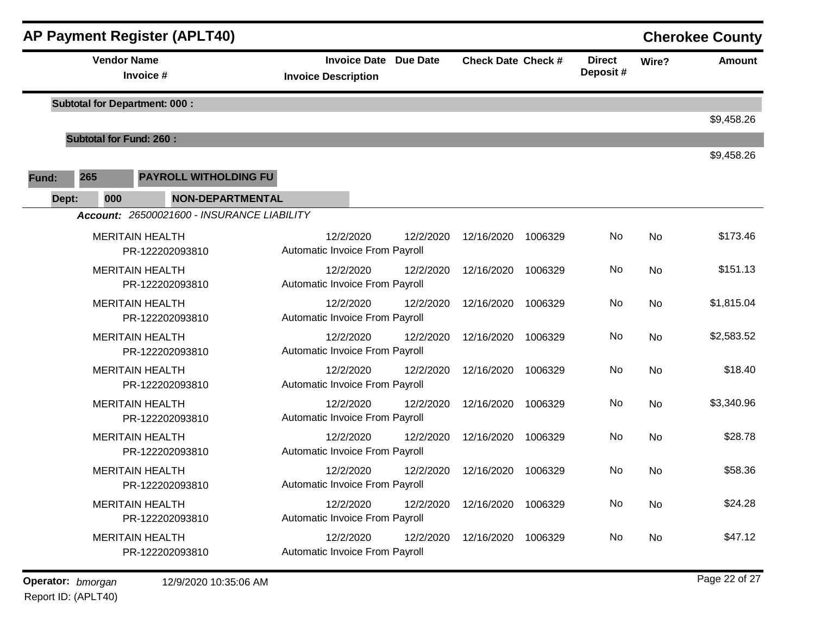|       |                                | <b>AP Payment Register (APLT40)</b>        |                                             |                              |           |                           |         |                           |       | <b>Cherokee County</b> |
|-------|--------------------------------|--------------------------------------------|---------------------------------------------|------------------------------|-----------|---------------------------|---------|---------------------------|-------|------------------------|
|       | <b>Vendor Name</b>             | Invoice #                                  | <b>Invoice Description</b>                  | <b>Invoice Date Due Date</b> |           | <b>Check Date Check #</b> |         | <b>Direct</b><br>Deposit# | Wire? | <b>Amount</b>          |
|       |                                | <b>Subtotal for Department: 000:</b>       |                                             |                              |           |                           |         |                           |       | \$9,458.26             |
|       | <b>Subtotal for Fund: 260:</b> |                                            |                                             |                              |           |                           |         |                           |       |                        |
| Fund: | 265                            | <b>PAYROLL WITHOLDING FU</b>               |                                             |                              |           |                           |         |                           |       | \$9,458.26             |
| Dept: | 000                            | <b>NON-DEPARTMENTAL</b>                    |                                             |                              |           |                           |         |                           |       |                        |
|       |                                | Account: 26500021600 - INSURANCE LIABILITY |                                             |                              |           |                           |         |                           |       |                        |
|       |                                | <b>MERITAIN HEALTH</b><br>PR-122202093810  | 12/2/2020<br>Automatic Invoice From Payroll |                              | 12/2/2020 | 12/16/2020                | 1006329 | No                        | No    | \$173.46               |
|       |                                | <b>MERITAIN HEALTH</b><br>PR-122202093810  | 12/2/2020<br>Automatic Invoice From Payroll |                              | 12/2/2020 | 12/16/2020                | 1006329 | No                        | No    | \$151.13               |
|       |                                | <b>MERITAIN HEALTH</b><br>PR-122202093810  | 12/2/2020<br>Automatic Invoice From Payroll |                              | 12/2/2020 | 12/16/2020                | 1006329 | No                        | No    | \$1,815.04             |
|       |                                | <b>MERITAIN HEALTH</b><br>PR-122202093810  | 12/2/2020<br>Automatic Invoice From Payroll |                              | 12/2/2020 | 12/16/2020                | 1006329 | No                        | No    | \$2,583.52             |
|       |                                | <b>MERITAIN HEALTH</b><br>PR-122202093810  | 12/2/2020<br>Automatic Invoice From Payroll |                              | 12/2/2020 | 12/16/2020                | 1006329 | No                        | No    | \$18.40                |
|       |                                | <b>MERITAIN HEALTH</b><br>PR-122202093810  | 12/2/2020<br>Automatic Invoice From Payroll |                              | 12/2/2020 | 12/16/2020                | 1006329 | No                        | No    | \$3,340.96             |
|       |                                | <b>MERITAIN HEALTH</b><br>PR-122202093810  | 12/2/2020<br>Automatic Invoice From Payroll |                              | 12/2/2020 | 12/16/2020                | 1006329 | No                        | No    | \$28.78                |
|       |                                | <b>MERITAIN HEALTH</b><br>PR-122202093810  | 12/2/2020<br>Automatic Invoice From Payroll |                              | 12/2/2020 | 12/16/2020                | 1006329 | No                        | No    | \$58.36                |
|       |                                | <b>MERITAIN HEALTH</b><br>PR-122202093810  | 12/2/2020<br>Automatic Invoice From Payroll |                              | 12/2/2020 | 12/16/2020                | 1006329 | No                        | No    | \$24.28                |
|       |                                | <b>MERITAIN HEALTH</b><br>PR-122202093810  | 12/2/2020<br>Automatic Invoice From Payroll |                              | 12/2/2020 | 12/16/2020                | 1006329 | No                        | No    | \$47.12                |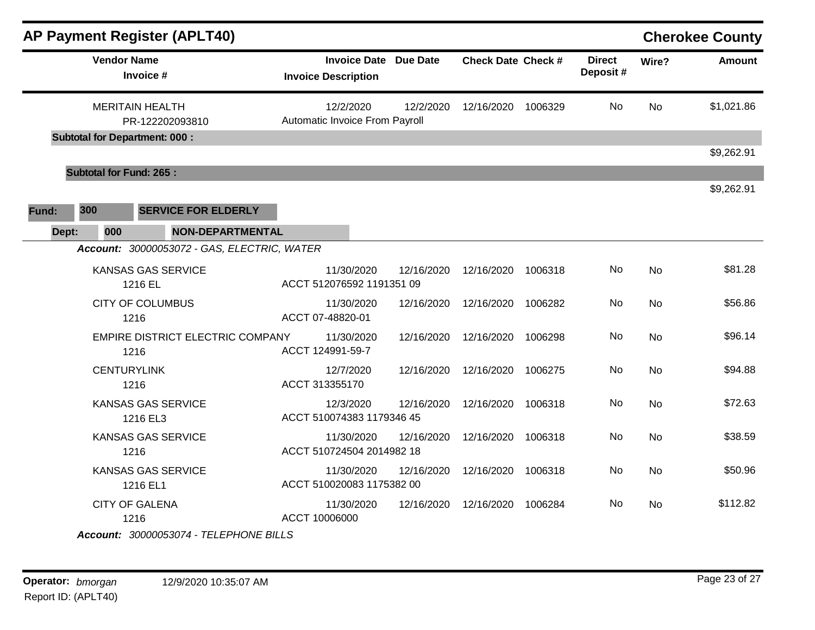|              |                                      | <b>AP Payment Register (APLT40)</b>         |                                             |                              |                           |         |                           |           | <b>Cherokee County</b> |
|--------------|--------------------------------------|---------------------------------------------|---------------------------------------------|------------------------------|---------------------------|---------|---------------------------|-----------|------------------------|
|              | <b>Vendor Name</b>                   | Invoice #                                   | <b>Invoice Description</b>                  | <b>Invoice Date Due Date</b> | <b>Check Date Check #</b> |         | <b>Direct</b><br>Deposit# | Wire?     | <b>Amount</b>          |
|              | <b>MERITAIN HEALTH</b>               | PR-122202093810                             | 12/2/2020<br>Automatic Invoice From Payroll | 12/2/2020                    | 12/16/2020 1006329        |         | <b>No</b>                 | <b>No</b> | \$1,021.86             |
|              | <b>Subtotal for Department: 000:</b> |                                             |                                             |                              |                           |         |                           |           | \$9,262.91             |
|              | <b>Subtotal for Fund: 265:</b>       |                                             |                                             |                              |                           |         |                           |           |                        |
| 300<br>Fund: |                                      | <b>SERVICE FOR ELDERLY</b>                  |                                             |                              |                           |         |                           |           | \$9,262.91             |
| Dept:        | 000                                  | <b>NON-DEPARTMENTAL</b>                     |                                             |                              |                           |         |                           |           |                        |
|              |                                      | Account: 30000053072 - GAS, ELECTRIC, WATER |                                             |                              |                           |         |                           |           |                        |
|              | 1216 EL                              | KANSAS GAS SERVICE                          | 11/30/2020<br>ACCT 512076592 1191351 09     | 12/16/2020                   | 12/16/2020                | 1006318 | No                        | <b>No</b> | \$81.28                |
|              | 1216                                 | <b>CITY OF COLUMBUS</b>                     | 11/30/2020<br>ACCT 07-48820-01              | 12/16/2020                   | 12/16/2020                | 1006282 | No                        | <b>No</b> | \$56.86                |
|              | 1216                                 | EMPIRE DISTRICT ELECTRIC COMPANY            | 11/30/2020<br>ACCT 124991-59-7              | 12/16/2020                   | 12/16/2020                | 1006298 | No                        | <b>No</b> | \$96.14                |
|              | <b>CENTURYLINK</b><br>1216           |                                             | 12/7/2020<br>ACCT 313355170                 | 12/16/2020                   | 12/16/2020                | 1006275 | No                        | <b>No</b> | \$94.88                |
|              |                                      | <b>KANSAS GAS SERVICE</b><br>1216 EL3       | 12/3/2020<br>ACCT 510074383 1179346 45      | 12/16/2020                   | 12/16/2020                | 1006318 | No                        | No        | \$72.63                |
|              | 1216                                 | <b>KANSAS GAS SERVICE</b>                   | 11/30/2020<br>ACCT 510724504 2014982 18     | 12/16/2020                   | 12/16/2020                | 1006318 | No.                       | <b>No</b> | \$38.59                |
|              |                                      | <b>KANSAS GAS SERVICE</b><br>1216 EL1       | 11/30/2020<br>ACCT 510020083 1175382 00     | 12/16/2020                   | 12/16/2020                | 1006318 | No.                       | No        | \$50.96                |
|              | <b>CITY OF GALENA</b><br>1216        | Account: 30000053074 - TELEPHONE BILLS      | 11/30/2020<br>ACCT 10006000                 | 12/16/2020                   | 12/16/2020                | 1006284 | No.                       | <b>No</b> | \$112.82               |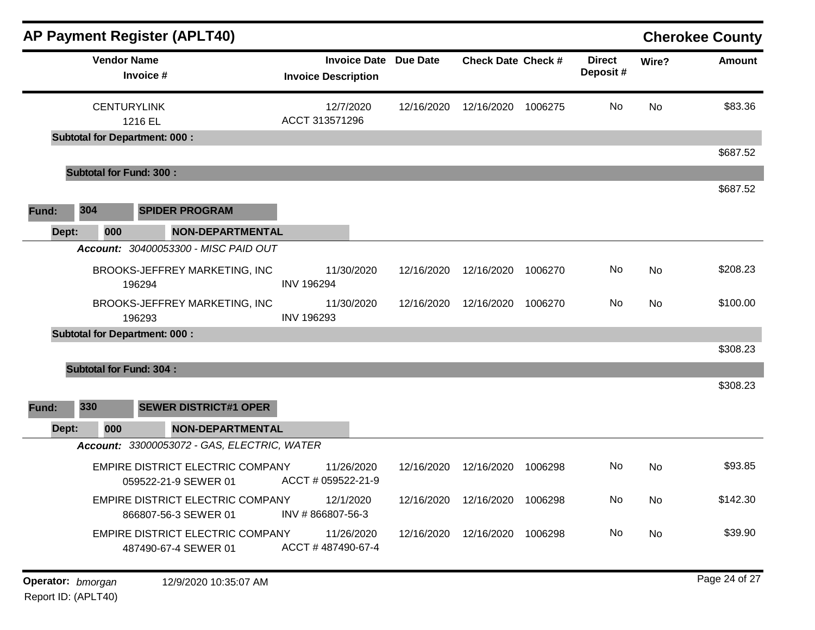| <b>AP Payment Register (APLT40)</b>                         |                         |                                                            |            |                           |         |                            |           | <b>Cherokee County</b> |
|-------------------------------------------------------------|-------------------------|------------------------------------------------------------|------------|---------------------------|---------|----------------------------|-----------|------------------------|
| <b>Vendor Name</b><br>Invoice #                             |                         | <b>Invoice Date Due Date</b><br><b>Invoice Description</b> |            | <b>Check Date Check #</b> |         | <b>Direct</b><br>Deposit # | Wire?     | Amount                 |
| <b>CENTURYLINK</b><br>1216 EL                               |                         | 12/7/2020<br>ACCT 313571296                                | 12/16/2020 | 12/16/2020                | 1006275 | No                         | <b>No</b> | \$83.36                |
| <b>Subtotal for Department: 000:</b>                        |                         |                                                            |            |                           |         |                            |           |                        |
| <b>Subtotal for Fund: 300:</b>                              |                         |                                                            |            |                           |         |                            |           | \$687.52               |
|                                                             |                         |                                                            |            |                           |         |                            |           | \$687.52               |
| 304<br><b>SPIDER PROGRAM</b><br>Fund:                       |                         |                                                            |            |                           |         |                            |           |                        |
| Dept:<br>000                                                | <b>NON-DEPARTMENTAL</b> |                                                            |            |                           |         |                            |           |                        |
| Account: 30400053300 - MISC PAID OUT                        |                         |                                                            |            |                           |         |                            |           |                        |
| BROOKS-JEFFREY MARKETING, INC<br>196294                     | <b>INV 196294</b>       | 11/30/2020                                                 | 12/16/2020 | 12/16/2020                | 1006270 | No.                        | No        | \$208.23               |
| BROOKS-JEFFREY MARKETING, INC<br>196293                     | <b>INV 196293</b>       | 11/30/2020                                                 | 12/16/2020 | 12/16/2020                | 1006270 | No                         | <b>No</b> | \$100.00               |
| <b>Subtotal for Department: 000:</b>                        |                         |                                                            |            |                           |         |                            |           |                        |
| <b>Subtotal for Fund: 304:</b>                              |                         |                                                            |            |                           |         |                            |           | \$308.23               |
|                                                             |                         |                                                            |            |                           |         |                            |           | \$308.23               |
| 330<br><b>SEWER DISTRICT#1 OPER</b><br>Fund:                |                         |                                                            |            |                           |         |                            |           |                        |
| Dept:<br>000<br>Account: 33000053072 - GAS, ELECTRIC, WATER | <b>NON-DEPARTMENTAL</b> |                                                            |            |                           |         |                            |           |                        |
| EMPIRE DISTRICT ELECTRIC COMPANY<br>059522-21-9 SEWER 01    |                         | 11/26/2020<br>ACCT # 059522-21-9                           | 12/16/2020 | 12/16/2020                | 1006298 | No                         | <b>No</b> | \$93.85                |
| EMPIRE DISTRICT ELECTRIC COMPANY<br>866807-56-3 SEWER 01    |                         | 12/1/2020<br>INV #866807-56-3                              | 12/16/2020 | 12/16/2020                | 1006298 | No                         | No        | \$142.30               |
| EMPIRE DISTRICT ELECTRIC COMPANY<br>487490-67-4 SEWER 01    |                         | 11/26/2020<br>ACCT #487490-67-4                            | 12/16/2020 | 12/16/2020                | 1006298 | No                         | No        | \$39.90                |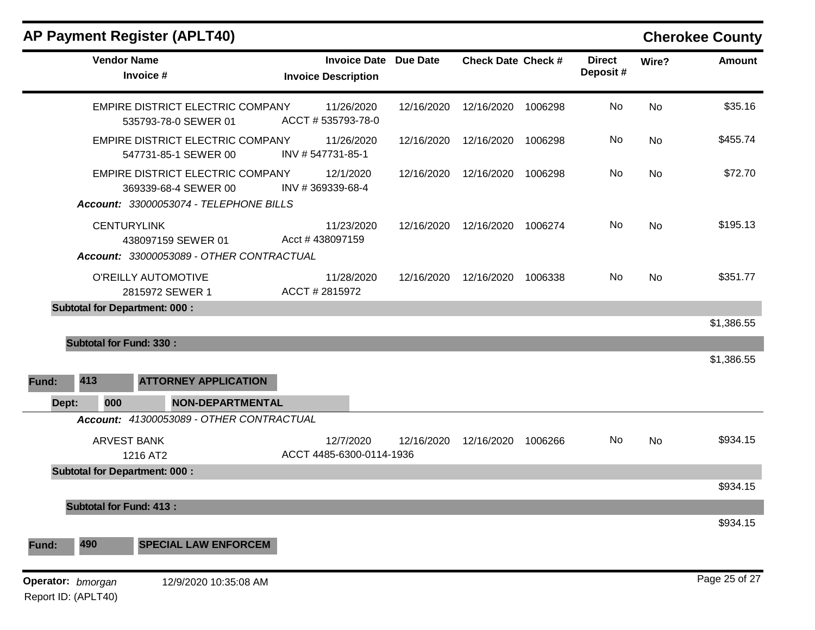|                   | <b>Vendor Name</b>             | Invoice #                                                                                          | <b>Invoice Date Due Date</b><br><b>Invoice Description</b> |            | <b>Check Date Check #</b> |         | <b>Direct</b><br>Deposit# | Wire?     | Amount        |
|-------------------|--------------------------------|----------------------------------------------------------------------------------------------------|------------------------------------------------------------|------------|---------------------------|---------|---------------------------|-----------|---------------|
|                   |                                | EMPIRE DISTRICT ELECTRIC COMPANY<br>535793-78-0 SEWER 01                                           | 11/26/2020<br>ACCT #535793-78-0                            | 12/16/2020 | 12/16/2020                | 1006298 | No                        | <b>No</b> | \$35.16       |
|                   |                                | EMPIRE DISTRICT ELECTRIC COMPANY<br>547731-85-1 SEWER 00                                           | 11/26/2020<br>INV #547731-85-1                             | 12/16/2020 | 12/16/2020                | 1006298 | No                        | No        | \$455.74      |
|                   |                                | EMPIRE DISTRICT ELECTRIC COMPANY<br>369339-68-4 SEWER 00<br>Account: 33000053074 - TELEPHONE BILLS | 12/1/2020<br>INV #369339-68-4                              | 12/16/2020 | 12/16/2020                | 1006298 | No                        | <b>No</b> | \$72.70       |
|                   | <b>CENTURYLINK</b>             | 438097159 SEWER 01<br>Account: 33000053089 - OTHER CONTRACTUAL                                     | 11/23/2020<br>Acct #438097159                              | 12/16/2020 | 12/16/2020                | 1006274 | No                        | <b>No</b> | \$195.13      |
|                   |                                | O'REILLY AUTOMOTIVE<br>2815972 SEWER 1                                                             | 11/28/2020<br>ACCT # 2815972                               | 12/16/2020 | 12/16/2020                | 1006338 | No                        | <b>No</b> | \$351.77      |
|                   |                                | <b>Subtotal for Department: 000:</b>                                                               |                                                            |            |                           |         |                           |           |               |
|                   |                                |                                                                                                    |                                                            |            |                           |         |                           |           | \$1,386.55    |
|                   | <b>Subtotal for Fund: 330:</b> |                                                                                                    |                                                            |            |                           |         |                           |           | \$1,386.55    |
|                   |                                |                                                                                                    |                                                            |            |                           |         |                           |           |               |
| Fund:             | 413                            | <b>ATTORNEY APPLICATION</b>                                                                        |                                                            |            |                           |         |                           |           |               |
| Dept:             | 000                            | <b>NON-DEPARTMENTAL</b>                                                                            |                                                            |            |                           |         |                           |           |               |
|                   |                                | Account: 41300053089 - OTHER CONTRACTUAL                                                           |                                                            |            |                           |         |                           |           |               |
|                   | <b>ARVEST BANK</b>             | 1216 AT2                                                                                           | 12/7/2020<br>ACCT 4485-6300-0114-1936                      | 12/16/2020 | 12/16/2020 1006266        |         | No                        | <b>No</b> | \$934.15      |
|                   |                                | <b>Subtotal for Department: 000:</b>                                                               |                                                            |            |                           |         |                           |           | \$934.15      |
|                   |                                |                                                                                                    |                                                            |            |                           |         |                           |           |               |
|                   | <b>Subtotal for Fund: 413:</b> |                                                                                                    |                                                            |            |                           |         |                           |           | \$934.15      |
| Fund:             | 490                            | <b>SPECIAL LAW ENFORCEM</b>                                                                        |                                                            |            |                           |         |                           |           |               |
| Operator: bmorgan | Report ID: (APLT40)            | 12/9/2020 10:35:08 AM                                                                              |                                                            |            |                           |         |                           |           | Page 25 of 27 |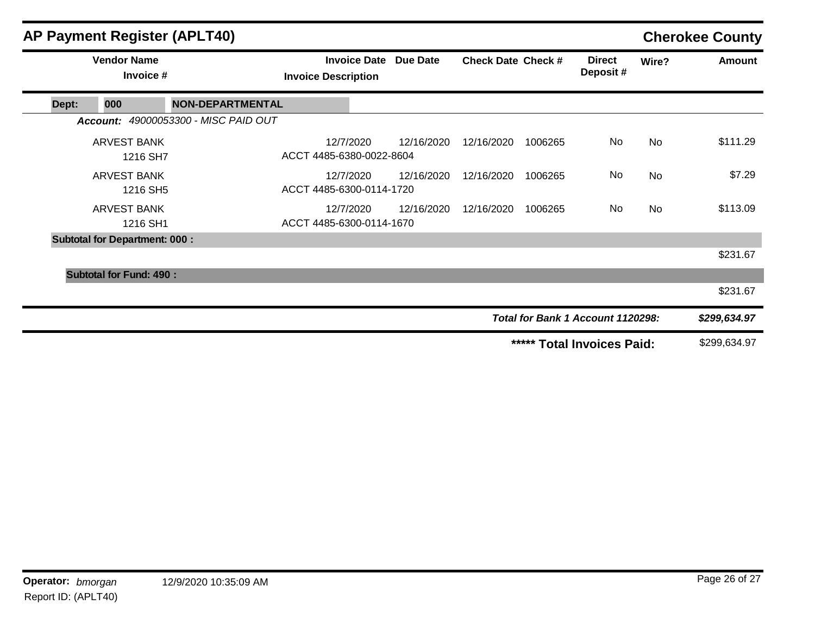|       |                                      | AP Payment Register (APLT40)         |                                       |                              |                                      |                                   |                           |           | <b>Cherokee County</b> |
|-------|--------------------------------------|--------------------------------------|---------------------------------------|------------------------------|--------------------------------------|-----------------------------------|---------------------------|-----------|------------------------|
|       | <b>Vendor Name</b><br>Invoice #      |                                      | <b>Invoice Description</b>            | <b>Invoice Date Due Date</b> | <b>Check Date Check #</b>            |                                   | <b>Direct</b><br>Deposit# | Wire?     | Amount                 |
| Dept: | 000                                  | <b>NON-DEPARTMENTAL</b>              |                                       |                              |                                      |                                   |                           |           |                        |
|       |                                      | Account: 49000053300 - MISC PAID OUT |                                       |                              |                                      |                                   |                           |           |                        |
|       | <b>ARVEST BANK</b><br>1216 SH7       |                                      | 12/7/2020<br>ACCT 4485-6380-0022-8604 | 12/16/2020                   | 12/16/2020                           | 1006265                           | No                        | No        | \$111.29               |
|       | <b>ARVEST BANK</b><br>1216 SH5       |                                      | 12/7/2020<br>ACCT 4485-6300-0114-1720 | 12/16/2020                   | 12/16/2020                           | 1006265                           | No                        | No        | \$7.29                 |
|       | <b>ARVEST BANK</b><br>1216 SH1       |                                      | 12/7/2020<br>ACCT 4485-6300-0114-1670 | 12/16/2020                   | 12/16/2020                           | 1006265                           | No                        | <b>No</b> | \$113.09               |
|       | <b>Subtotal for Department: 000:</b> |                                      |                                       |                              |                                      |                                   |                           |           |                        |
|       |                                      |                                      |                                       |                              |                                      |                                   |                           |           | \$231.67               |
|       | <b>Subtotal for Fund: 490:</b>       |                                      |                                       |                              |                                      |                                   |                           |           |                        |
|       |                                      |                                      |                                       |                              |                                      |                                   |                           |           | \$231.67               |
|       |                                      |                                      |                                       |                              |                                      | Total for Bank 1 Account 1120298: |                           |           | \$299,634.97           |
|       |                                      |                                      |                                       |                              | *****<br><b>Total Invoices Paid:</b> |                                   |                           |           | \$299,634.97           |